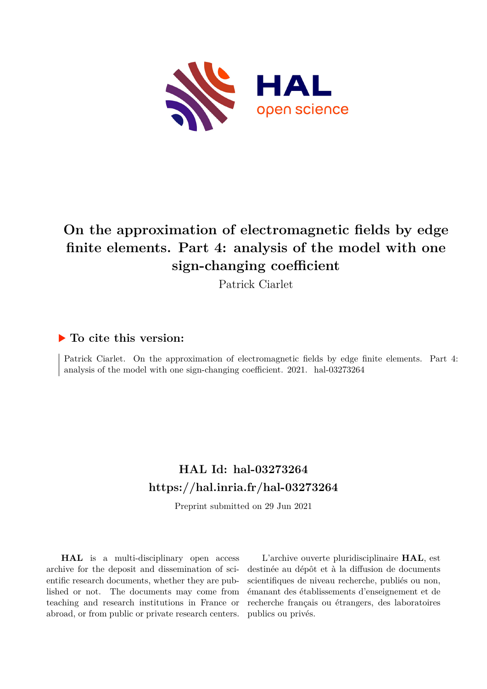

# **On the approximation of electromagnetic fields by edge finite elements. Part 4: analysis of the model with one sign-changing coefficient**

Patrick Ciarlet

## **To cite this version:**

Patrick Ciarlet. On the approximation of electromagnetic fields by edge finite elements. Part 4: analysis of the model with one sign-changing coefficient.  $2021$ . hal-03273264

## **HAL Id: hal-03273264 <https://hal.inria.fr/hal-03273264>**

Preprint submitted on 29 Jun 2021

**HAL** is a multi-disciplinary open access archive for the deposit and dissemination of scientific research documents, whether they are published or not. The documents may come from teaching and research institutions in France or abroad, or from public or private research centers.

L'archive ouverte pluridisciplinaire **HAL**, est destinée au dépôt et à la diffusion de documents scientifiques de niveau recherche, publiés ou non, émanant des établissements d'enseignement et de recherche français ou étrangers, des laboratoires publics ou privés.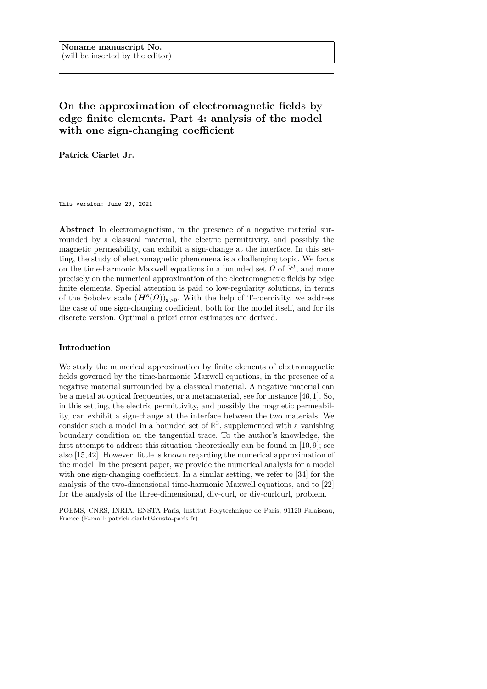### **On the approximation of electromagnetic fields by edge finite elements. Part 4: analysis of the model with one sign-changing coefficient**

**Patrick Ciarlet Jr.**

This version: June 29, 2021

**Abstract** In electromagnetism, in the presence of a negative material surrounded by a classical material, the electric permittivity, and possibly the magnetic permeability, can exhibit a sign-change at the interface. In this setting, the study of electromagnetic phenomena is a challenging topic. We focus on the time-harmonic Maxwell equations in a bounded set  $\Omega$  of  $\mathbb{R}^3$ , and more precisely on the numerical approximation of the electromagnetic fields by edge finite elements. Special attention is paid to low-regularity solutions, in terms of the Sobolev scale  $(H^s(\Omega))_{s>0}$ . With the help of T-coercivity, we address the case of one sign-changing coefficient, both for the model itself, and for its discrete version. Optimal a priori error estimates are derived.

#### **Introduction**

We study the numerical approximation by finite elements of electromagnetic fields governed by the time-harmonic Maxwell equations, in the presence of a negative material surrounded by a classical material. A negative material can be a metal at optical frequencies, or a metamaterial, see for instance [46, 1]. So, in this setting, the electric permittivity, and possibly the magnetic permeability, can exhibit a sign-change at the interface between the two materials. We consider such a model in a bounded set of  $\mathbb{R}^3$ , supplemented with a vanishing boundary condition on the tangential trace. To the author's knowledge, the first attempt to address this situation theoretically can be found in [10, 9]; see also [15, 42]. However, little is known regarding the numerical approximation of the model. In the present paper, we provide the numerical analysis for a model with one sign-changing coefficient. In a similar setting, we refer to [34] for the analysis of the two-dimensional time-harmonic Maxwell equations, and to [22] for the analysis of the three-dimensional, div-curl, or div-curlcurl, problem.

POEMS, CNRS, INRIA, ENSTA Paris, Institut Polytechnique de Paris, 91120 Palaiseau, France (E-mail: patrick.ciarlet@ensta-paris.fr).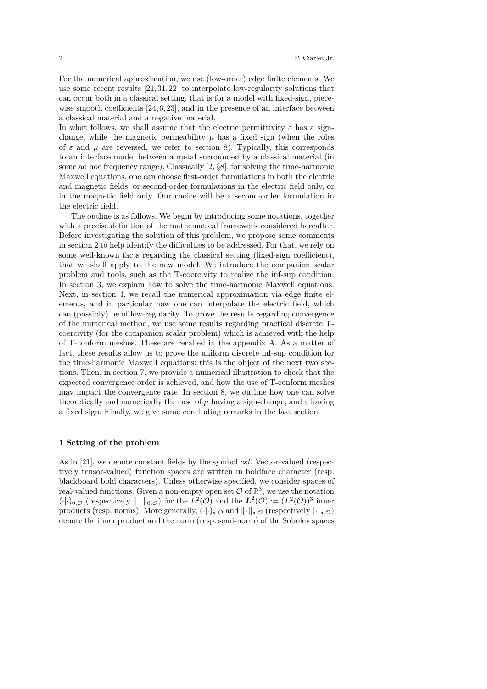For the numerical approximation, we use (low-order) edge finite elements. We use some recent results [21, 31, 22] to interpolate low-regularity solutions that can occur both in a classical setting, that is for a model with fixed-sign, piecewise smooth coefficients  $[24, 6, 23]$ , and in the presence of an interface between a classical material and a negative material.

In what follows, we shall assume that the electric permittivity  $\varepsilon$  has a signchange, while the magnetic permeability  $\mu$  has a fixed sign (when the roles of  $\varepsilon$  and  $\mu$  are reversed, we refer to section 8). Typically, this corresponds to an interface model between a metal surrounded by a classical material (in some ad hoc frequency range). Classically [2, §8], for solving the time-harmonic Maxwell equations, one can choose first-order formulations in both the electric and magnetic fields, or second-order formulations in the electric field only, or in the magnetic field only. Our choice will be a second-order formulation in the electric field.

The outline is as follows. We begin by introducing some notations, together with a precise definition of the mathematical framework considered hereafter. Before investigating the solution of this problem, we propose some comments in section 2 to help identify the difficulties to be addressed. For that, we rely on some well-known facts regarding the classical setting (fixed-sign coefficient), that we shall apply to the new model. We introduce the companion scalar problem and tools, such as the T-coercivity to realize the inf-sup condition. In section 3, we explain how to solve the time-harmonic Maxwell equations. Next, in section 4, we recall the numerical approximation via edge finite elements, and in particular how one can interpolate the electric field, which can (possibly) be of low-regularity. To prove the results regarding convergence of the numerical method, we use some results regarding practical discrete Tcoercivity (for the companion scalar problem) which is achieved with the help of T-conform meshes. These are recalled in the appendix A. As a matter of fact, these results allow us to prove the uniform discrete inf-sup condition for the time-harmonic Maxwell equations: this is the object of the next two sections. Then, in section 7, we provide a numerical illustration to check that the expected convergence order is achieved, and how the use of T-conform meshes may impact the convergence rate. In section 8, we outline how one can solve theoretically and numerically the case of *µ* having a sign-change, and *ε* having a fixed sign. Finally, we give some concluding remarks in the last section.

#### **1 Setting of the problem**

As in [21], we denote constant fields by the symbol *cst*. Vector-valued (respectively tensor-valued) function spaces are written in boldface character (resp. blackboard bold characters). Unless otherwise specified, we consider spaces of real-valued functions. Given a non-empty open set  $\mathcal{O}$  of  $\mathbb{R}^3$ , we use the notation  $(\cdot|\cdot)_{0,\mathcal{O}}$  (respectively  $\|\cdot\|_{0,\mathcal{O}}$ ) for the  $L^2(\mathcal{O})$  and the  $L^2(\mathcal{O}) := (L^2(\mathcal{O}))^3$  inner products (resp. norms). More generally,  $(\cdot|\cdot)_{s,\mathcal{O}}$  and  $\|\cdot\|_{s,\mathcal{O}}$  (respectively  $|\cdot|_{s,\mathcal{O}}$ ) denote the inner product and the norm (resp. semi-norm) of the Sobolev spaces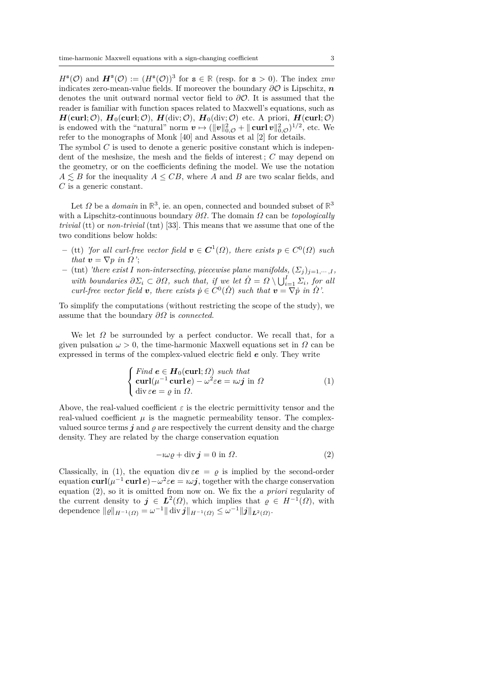$H^s(\mathcal{O})$  and  $\mathbf{H}^s(\mathcal{O}) := (H^s(\mathcal{O}))^3$  for  $s \in \mathbb{R}$  (resp. for  $s > 0$ ). The index *zmv* indicates zero-mean-value fields. If moreover the boundary  $\partial O$  is Lipschitz, *n* denotes the unit outward normal vector field to *∂*O. It is assumed that the reader is familiar with function spaces related to Maxwell's equations, such as  $H(\text{curl}; \mathcal{O})$ ,  $H_0(\text{curl}; \mathcal{O})$ ,  $H(\text{div}; \mathcal{O})$ ,  $H_0(\text{div}; \mathcal{O})$  etc. A priori,  $H(\text{curl}; \mathcal{O})$ is endowed with the "natural" norm  $v \mapsto (\|v\|_{0,\mathcal{O}}^2 + \|\operatorname{curl} v\|_{0,\mathcal{O}}^2)^{1/2}$ , etc. We refer to the monographs of Monk [40] and Assous et al [2] for details.

The symbol *C* is used to denote a generic positive constant which is independent of the meshsize, the mesh and the fields of interest ; *C* may depend on the geometry, or on the coefficients defining the model. We use the notation  $A \leq B$  for the inequality  $A \leq CB$ , where *A* and *B* are two scalar fields, and *C* is a generic constant.

Let  $\Omega$  be a *domain* in  $\mathbb{R}^3$ , ie. an open, connected and bounded subset of  $\mathbb{R}^3$ with a Lipschitz-continuous boundary *∂Ω*. The domain *Ω* can be *topologically trivial* (tt) or *non-trivial* (tnt) [33]. This means that we assume that one of the two conditions below holds:

- $-$  (*tt*) *'for all curl-free vector field*  $v \in C^1(\Omega)$ , there exists  $p \in C^0(\Omega)$  such *that*  $v = \nabla p$  *in*  $\Omega$ *'*;
- $-$  (tnt) *'there exist I* non-intersecting, piecewise plane manifolds,  $(\Sigma_i)_{i=1,\dots,I}$ *with boundaries*  $\partial \Sigma_i \subset \partial \Omega$ *, such that, if we let*  $\dot{\Omega} = \Omega \setminus \bigcup_{i=1}^I \Sigma_i$ *, for all curl-free vector field*  $v$ *, there exists*  $\dot{p} \in C^0(\dot{\Omega})$  *such that*  $v = \nabla \dot{p}$  *in*  $\dot{\Omega}$ .

To simplify the computations (without restricting the scope of the study), we assume that the boundary *∂Ω* is *connected*.

We let  $\Omega$  be surrounded by a perfect conductor. We recall that, for a given pulsation  $\omega > 0$ , the time-harmonic Maxwell equations set in  $\Omega$  can be expressed in terms of the complex-valued electric field *e* only. They write

$$
\begin{cases}\n\text{Find } e \in H_0(\text{curl}; \Omega) \text{ such that} \\
\text{curl}(\mu^{-1} \text{ curl } e) - \omega^2 \varepsilon e = i \omega j \text{ in } \Omega \\
\text{div } \varepsilon e = \varrho \text{ in } \Omega.\n\end{cases} \tag{1}
$$

Above, the real-valued coefficient  $\varepsilon$  is the electric permittivity tensor and the real-valued coefficient  $\mu$  is the magnetic permeability tensor. The complexvalued source terms  $\boldsymbol{j}$  and  $\rho$  are respectively the current density and the charge density. They are related by the charge conservation equation

$$
-i\omega \varrho + \text{div}\,\mathbf{j} = 0 \text{ in } \Omega. \tag{2}
$$

Classically, in (1), the equation div  $\varepsilon e = \rho$  is implied by the second-order  $\text{equation } \textbf{curl}(\mu^{-1} \textbf{curl } e) - \omega^2 \varepsilon e = \omega j$ , together with the charge conservation equation (2), so it is omitted from now on. We fix the *a priori* regularity of the current density to  $j \in L^2(\Omega)$ , which implies that  $\varrho \in H^{-1}(\Omega)$ , with dependence  $\|\varrho\|_{H^{-1}(\Omega)} = \omega^{-1} \|\text{div } j\|_{H^{-1}(\Omega)} \leq \omega^{-1} \|j\|_{L^2(\Omega)}$ .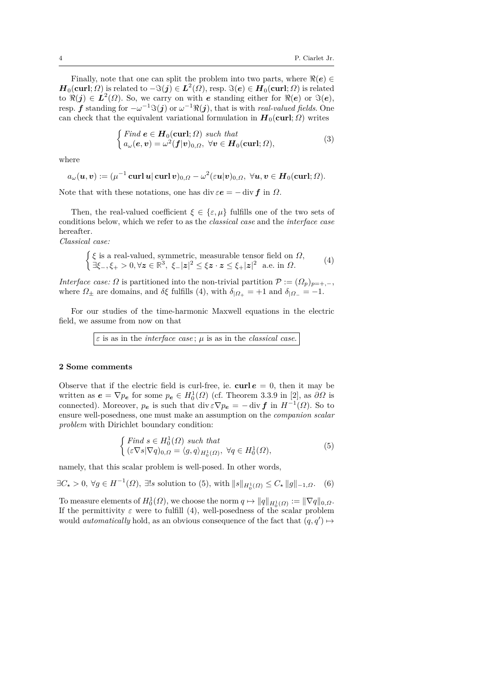Finally, note that one can split the problem into two parts, where  $\Re(e) \in$  $\bm{H}_0(\mathbf{curl}; \Omega)$  is related to  $-\Im(\bm{j}) \in \bm{L}^2(\Omega)$ , resp.  $\Im(\bm{e}) \in \bm{H}_0(\mathbf{curl}; \Omega)$  is related to  $\Re(j) \in L^2(\Omega)$ . So, we carry on with *e* standing either for  $\Re(e)$  or  $\Im(e)$ , resp. *f* standing for  $-\omega^{-1}\Im(j)$  or  $\omega^{-1}\Re(j)$ , that is with *real-valued fields*. One can check that the equivalent variational formulation in  $H_0$ (**curl**; *Ω*) writes

$$
\begin{cases}\n\text{Find } \mathbf{e} \in \mathbf{H}_0(\mathbf{curl}; \Omega) \text{ such that} \\
a_{\omega}(\mathbf{e}, \mathbf{v}) = \omega^2(\mathbf{f}|\mathbf{v})_{0,\Omega}, \forall \mathbf{v} \in \mathbf{H}_0(\mathbf{curl}; \Omega),\n\end{cases} \tag{3}
$$

where

$$
a_\omega(\boldsymbol{u},\boldsymbol{v}):=(\mu^{-1}\operatorname{{\bf curl}} \boldsymbol{u}|\operatorname{{\bf curl}} \boldsymbol{v})_{0,\Omega}-\omega^2(\varepsilon \boldsymbol{u}|\boldsymbol{v})_{0,\Omega},\ \forall \boldsymbol{u},\boldsymbol{v}\in \boldsymbol{H}_0(\operatorname{{\bf curl}};\Omega).
$$

Note that with these notations, one has div  $\varepsilon e = - \text{div } f$  in  $\Omega$ .

Then, the real-valued coefficient  $\xi \in {\varepsilon, \mu}$  fulfills one of the two sets of conditions below, which we refer to as the *classical case* and the *interface case* hereafter.

*Classical case:*

$$
\begin{cases} \xi \text{ is a real-valued, symmetric, measurable tensor field on } \Omega, \\ \exists \xi_-, \xi_+ > 0, \forall z \in \mathbb{R}^3, \xi_- |z|^2 \le \xi z \cdot z \le \xi_+ |z|^2 \text{ a.e. in } \Omega. \end{cases} (4)
$$

*Interface case:*  $\Omega$  is partitioned into the non-trivial partition  $\mathcal{P} := (\Omega_p)_{p=+,-}$ , where  $\Omega_{\pm}$  are domains, and  $\delta \xi$  fulfills (4), with  $\delta_{\vert \Omega_{+}} = +1$  and  $\delta_{\vert \Omega_{-}} = -1$ .

For our studies of the time-harmonic Maxwell equations in the electric field, we assume from now on that

*ε* is as in the *interface case* ; *µ* is as in the *classical case*.

#### **2 Some comments**

Observe that if the electric field is curl-free, ie. **curl**  $e = 0$ , then it may be written as  $e = \nabla p_e$  for some  $p_e \in H_0^1(\Omega)$  (cf. Theorem 3.3.9 in [2], as  $\partial \Omega$  is connected). Moreover,  $p_e$  is such that div  $\epsilon \nabla p_e = - \text{div } f$  in  $H^{-1}(\Omega)$ . So to ensure well-posedness, one must make an assumption on the *companion scalar problem* with Dirichlet boundary condition:

$$
\begin{cases}\n\text{Find } s \in H_0^1(\Omega) \text{ such that} \\
(\varepsilon \nabla s | \nabla q)_{0,\Omega} = \langle g, q \rangle_{H_0^1(\Omega)}, \ \forall q \in H_0^1(\Omega),\n\end{cases} \tag{5}
$$

namely, that this scalar problem is well-posed. In other words,

 $\exists C_{\star} > 0$ ,  $\forall g \in H^{-1}(\Omega)$ ,  $\exists !s$  solution to (5), with  $||s||_{H_0^1(\Omega)} \leq C_{\star} ||g||_{-1,\Omega}$ . (6)

To measure elements of  $H_0^1(\Omega)$ , we choose the norm  $q \mapsto ||q||_{H_0^1(\Omega)} := ||\nabla q||_{0,\Omega}$ . If the permittivity  $\varepsilon$  were to fulfill (4), well-posedness of the scalar problem would *automatically* hold, as an obvious consequence of the fact that  $(q, q') \mapsto$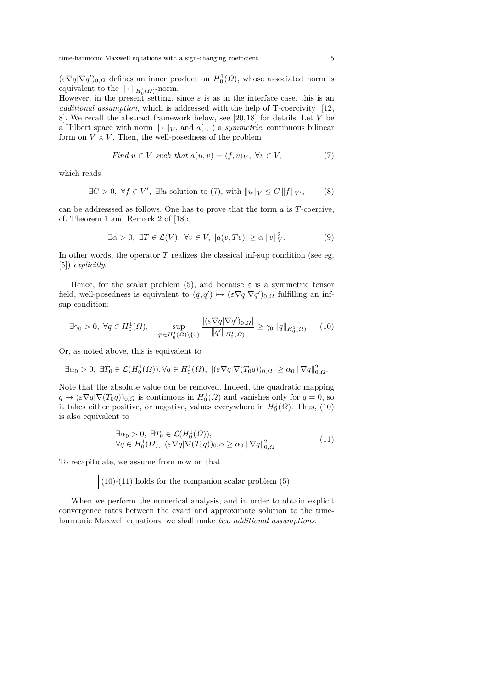$(\varepsilon \nabla q | \nabla q')_{0,\Omega}$  defines an inner product on  $H_0^1(\Omega)$ , whose associated norm is equivalent to the  $\|\cdot\|_{H_0^1(\Omega)}$ -norm.

However, in the present setting, since  $\varepsilon$  is as in the interface case, this is an *additional assumption*, which is addressed with the help of T-coercivity [12, 8]. We recall the abstract framework below, see [20, 18] for details. Let *V* be a Hilbert space with norm  $\|\cdot\|_V$ , and  $a(\cdot, \cdot)$  a *symmetric*, continuous bilinear form on  $V \times V$ . Then, the well-posedness of the problem

Find 
$$
u \in V
$$
 such that  $a(u, v) = \langle f, v \rangle_V$ ,  $\forall v \in V$ , (7)

which reads

$$
\exists C > 0, \ \forall f \in V', \ \exists! u \text{ solution to (7), with } ||u||_V \le C ||f||_{V'}, \tag{8}
$$

can be addresssed as follows. One has to prove that the form *a* is *T*-coercive, cf. Theorem 1 and Remark 2 of [18]:

$$
\exists \alpha > 0, \ \exists T \in \mathcal{L}(V), \ \forall v \in V, \ |a(v, Tv)| \ge \alpha \|v\|_V^2. \tag{9}
$$

In other words, the operator  $T$  realizes the classical inf-sup condition (see eg. [5]) *explicitly*.

Hence, for the scalar problem (5), and because  $\varepsilon$  is a symmetric tensor field, well-posedness is equivalent to  $(q, q') \mapsto (\varepsilon \nabla q | \nabla q')_{0,\Omega}$  fulfilling an infsup condition:

$$
\exists \gamma_0 > 0, \ \forall q \in H_0^1(\Omega), \quad \sup_{q' \in H_0^1(\Omega) \backslash \{0\}} \frac{|(\varepsilon \nabla q | \nabla q')_{0,\Omega}|}{\|q'\|_{H_0^1(\Omega)}} \ge \gamma_0 \|q\|_{H_0^1(\Omega)}. \tag{10}
$$

Or, as noted above, this is equivalent to

$$
\exists \alpha_0 > 0, \ \exists T_0 \in \mathcal{L}(H_0^1(\Omega)), \forall q \in H_0^1(\Omega), \ |(\varepsilon \nabla q|\nabla (T_0 q))_{0,\Omega}| \ge \alpha_0 \|\nabla q\|_{0,\Omega}^2.
$$

Note that the absolute value can be removed. Indeed, the quadratic mapping  $q \mapsto (\varepsilon \nabla q | \nabla (T_0 q))_{0,\Omega}$  is continuous in  $H_0^1(\Omega)$  and vanishes only for  $q = 0$ , so it takes either positive, or negative, values everywhere in  $H_0^1(\Omega)$ . Thus, (10) is also equivalent to

$$
\exists \alpha_0 > 0, \ \exists T_0 \in \mathcal{L}(H_0^1(\Omega)),\forall q \in H_0^1(\Omega), \ (\varepsilon \nabla q | \nabla (T_0 q))_{0,\Omega} \ge \alpha_0 \| \nabla q \|_{0,\Omega}^2.
$$
\n(11)

To recapitulate, we assume from now on that

 $(10)-(11)$  holds for the companion scalar problem  $(5)$ .

When we perform the numerical analysis, and in order to obtain explicit convergence rates between the exact and approximate solution to the timeharmonic Maxwell equations, we shall make *two additional assumptions*: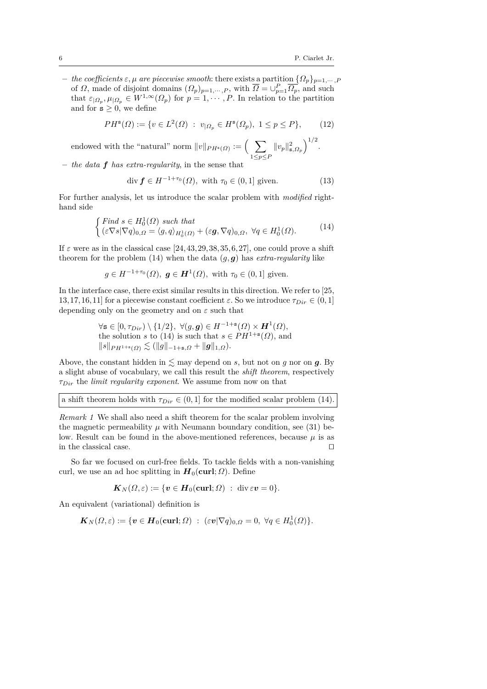**–** *the coefficients ε, µ are piecewise smooth*: there exists a partition {*Ωp*}*<sup>p</sup>*=1*,*··· *,P* of *Ω*, made of disjoint domains  $(Q_p)_{p=1,\dots,P}$ , with  $\overline{Q} = \bigcup_{p=1}^P \overline{Q_p}$ , and such that  $\varepsilon_{\vert \Omega_p}, \mu_{\vert \Omega_p} \in W^{1,\infty}(\Omega_p)$  for  $p = 1, \cdots, P$ . In relation to the partition and for  $s \geq 0$ , we define

$$
PH^s(\Omega) := \{ v \in L^2(\Omega) : v_{|\Omega_p} \in H^s(\Omega_p), 1 \le p \le P \},\qquad(12)
$$

endowed with the "natural" norm  $||v||_{PH^{s}(\Omega)} := \begin{pmatrix} \end{pmatrix}$ 1≤*p*≤*P*  $||v_p||_{\mathbf{s},\Omega_p}^2\Big)^{1/2}.$ 

**–** *the data f has extra-regularity*, in the sense that

$$
\operatorname{div} \mathbf{f} \in H^{-1+\tau_0}(\Omega), \text{ with } \tau_0 \in (0,1] \text{ given.} \tag{13}
$$

For further analysis, let us introduce the scalar problem with *modified* righthand side

$$
\begin{cases}\n\text{Find } s \in H_0^1(\Omega) \text{ such that} \\
(\varepsilon \nabla s | \nabla q)_{0,\Omega} = \langle g, q \rangle_{H_0^1(\Omega)} + (\varepsilon \mathbf{g}, \nabla q)_{0,\Omega}, \ \forall q \in H_0^1(\Omega).\n\end{cases} \tag{14}
$$

If  $\varepsilon$  were as in the classical case [24, 43, 29, 38, 35, 6, 27], one could prove a shift theorem for the problem (14) when the data  $(q, \mathbf{g})$  has *extra-regularity* like

$$
g \in H^{-1+\tau_0}(\Omega)
$$
,  $\mathbf{g} \in \mathbf{H}^1(\Omega)$ , with  $\tau_0 \in (0,1]$  given.

In the interface case, there exist similar results in this direction. We refer to [25, 13, 17, 16, 11] for a piecewise constant coefficient  $\varepsilon$ . So we introduce  $\tau_{Dir} \in (0, 1]$ depending only on the geometry and on *ε* such that

$$
\forall \mathbf{s} \in [0, \tau_{Dir}) \setminus \{1/2\}, \ \forall (g, \mathbf{g}) \in H^{-1+\mathbf{s}}(\Omega) \times \mathbf{H}^1(\Omega),
$$
  
the solution  $s$  to (14) is such that  $s \in PH^{1+\mathbf{s}}(\Omega)$ , and  

$$
\|s\|_{PH^{1+\mathbf{s}}(\Omega)} \lesssim (\|g\|_{-1+\mathbf{s},\Omega} + \|g\|_{1,\Omega}).
$$

Above, the constant hidden in  $\lesssim$  may depend on *s*, but not on *g* nor on *g*. By a slight abuse of vocabulary, we call this result the *shift theorem*, respectively *τDir* the *limit regularity exponent*. We assume from now on that

|  |  | a shift theorem holds with $\tau_{Dir} \in (0,1]$ for the modified scalar problem (14). |  |  |
|--|--|-----------------------------------------------------------------------------------------|--|--|
|--|--|-----------------------------------------------------------------------------------------|--|--|

*Remark 1* We shall also need a shift theorem for the scalar problem involving the magnetic permeability  $\mu$  with Neumann boundary condition, see (31) below. Result can be found in the above-mentioned references, because  $\mu$  is as in the classical case.  $\hfill \square$ 

So far we focused on curl-free fields. To tackle fields with a non-vanishing curl, we use an ad hoc splitting in  $H_0(\text{curl}; \Omega)$ . Define

$$
\boldsymbol{K}_N(\Omega,\varepsilon):=\{\boldsymbol{v}\in \boldsymbol{H}_0(\boldsymbol{\operatorname{curl}};\Omega)\ :\ \operatorname{div}\varepsilon\boldsymbol{v}=0\}.
$$

An equivalent (variational) definition is

 $\boldsymbol{K}_N(\Omega,\varepsilon) := \{\boldsymbol{v} \in \boldsymbol{H}_0(\boldsymbol{\operatorname{curl}};\Omega) \; : \; (\varepsilon \boldsymbol{v}|\nabla q)_{0,\Omega} = 0, \; \forall q \in H^1_0(\Omega)\}.$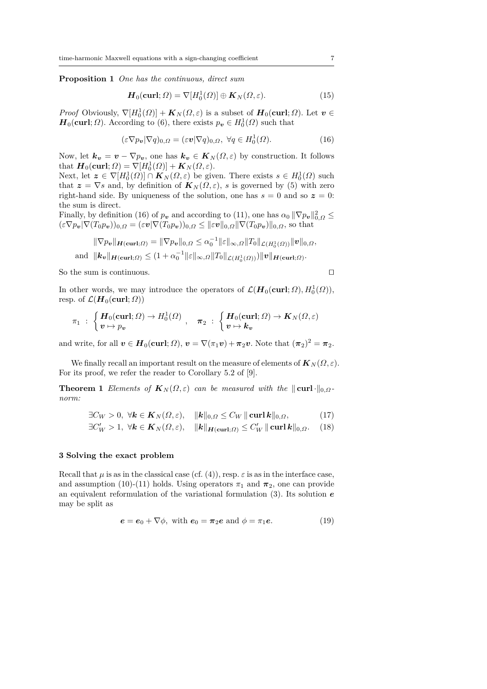**Proposition 1** *One has the continuous, direct sum*

$$
\boldsymbol{H}_0(\text{curl};\Omega) = \nabla[H_0^1(\Omega)] \oplus \boldsymbol{K}_N(\Omega,\varepsilon). \tag{15}
$$

*Proof* Obviously,  $\nabla$ [ $H_0^1(\Omega)$ ] +  $K_N(\Omega, \varepsilon)$  is a subset of  $H_0(\text{curl}; \Omega)$ . Let  $v \in$  $H_0(\text{curl}; \Omega)$ . According to (6), there exists  $p_v \in H_0^1(\Omega)$  such that

$$
(\varepsilon \nabla p_{\boldsymbol{v}} | \nabla q)_{0,\Omega} = (\varepsilon \boldsymbol{v} | \nabla q)_{0,\Omega}, \ \forall q \in H_0^1(\Omega). \tag{16}
$$

Now, let  $\mathbf{k}_v = v - \nabla p_v$ , one has  $\mathbf{k}_v \in \mathbf{K}_N(\Omega, \varepsilon)$  by construction. It follows that  $\boldsymbol{H}_0(\textbf{curl}; \Omega) = \nabla [H_0^1(\Omega)] + \boldsymbol{K}_N(\Omega, \varepsilon).$ 

Next, let  $\mathbf{z} \in \nabla[H_0^1(\Omega)] \cap \mathbf{K}_N(\Omega,\varepsilon)$  be given. There exists  $s \in H_0^1(\Omega)$  such that  $z = \nabla s$  and, by definition of  $K_N(\Omega, \varepsilon)$ , *s* is governed by (5) with zero right-hand side. By uniqueness of the solution, one has  $s = 0$  and so  $z = 0$ : the sum is direct.

Finally, by definition (16) of  $p_v$  and according to (11), one has  $\alpha_0 \|\nabla p_v\|_{0,\Omega}^2 \leq$  $(\varepsilon \nabla p_{\bm{v}}|\nabla (T_0 p_{\bm{v}}))_{0,\Omega} = (\varepsilon \bm{v}|\nabla (T_0 p_{\bm{v}}))_{0,\Omega} \leq ||\varepsilon \bm{v}||_{0,\Omega}||\nabla (T_0 p_{\bm{v}})||_{0,\Omega}$ , so that

$$
\|\nabla p_{\boldsymbol{v}}\|_{\boldsymbol{H}(\boldsymbol{\operatorname{curl}};\Omega)} = \|\nabla p_{\boldsymbol{v}}\|_{0,\Omega} \le \alpha_0^{-1} \|\varepsilon\|_{\infty,\Omega} \|T_0\|_{\mathcal{L}(H_0^1(\Omega))} \|\boldsymbol{v}\|_{0,\Omega},
$$
  
and 
$$
\|\boldsymbol{k}_{\boldsymbol{v}}\|_{\boldsymbol{H}(\boldsymbol{\operatorname{curl}};\Omega)} \le (1 + \alpha_0^{-1} \|\varepsilon\|_{\infty,\Omega} \|T_0\|_{\mathcal{L}(H_0^1(\Omega))}) \|\boldsymbol{v}\|_{\boldsymbol{H}(\boldsymbol{\operatorname{curl}};\Omega)}.
$$

So the sum is continuous.  $\Box$ 

In other words, we may introduce the operators of  $\mathcal{L}(\mathbf{H}_0(\textbf{curl}; \Omega), H_0^1(\Omega)),$ resp. of  $\mathcal{L}(\mathbf{H}_0(\mathbf{curl}; \Omega))$ 

$$
\pi_1 \; : \; \begin{cases} \bm{H}_0(\mathbf{curl};\Omega) \to H_0^1(\Omega) \\ \bm{v} \mapsto p_{\bm{v}} \end{cases}, \quad \bm{\pi}_2 \; : \; \begin{cases} \bm{H}_0(\mathbf{curl};\Omega) \to \bm{K}_N(\Omega,\varepsilon) \\ \bm{v} \mapsto \bm{k}_{\bm{v}} \end{cases}
$$

and write, for all  $v \in H_0(\text{curl}; \Omega)$ ,  $v = \nabla(\pi_1 v) + \pi_2 v$ . Note that  $(\pi_2)^2 = \pi_2$ .

We finally recall an important result on the measure of elements of  $\mathbf{K}_N(\Omega,\varepsilon)$ . For its proof, we refer the reader to Corollary 5.2 of [9].

**Theorem 1** *Elements of*  $K_N(\Omega, \varepsilon)$  *can be measured with the*  $\|\text{curl}\cdot\|_{0,\Omega}$ *norm:*

$$
\exists C_W > 0, \ \forall k \in K_N(\Omega, \varepsilon), \quad \|k\|_{0,\Omega} \le C_W \|\operatorname{curl} k\|_{0,\Omega},\tag{17}
$$

$$
\exists C'_W > 1, \ \forall k \in K_N(\Omega, \varepsilon), \quad \|k\|_{H(\text{curl};\Omega)} \le C'_W \|\text{curl } k\|_{0,\Omega}. \tag{18}
$$

#### **3 Solving the exact problem**

Recall that  $\mu$  is as in the classical case (cf. (4)), resp.  $\varepsilon$  is as in the interface case, and assumption (10)-(11) holds. Using operators  $\pi_1$  and  $\pi_2$ , one can provide an equivalent reformulation of the variational formulation (3). Its solution *e* may be split as

$$
\mathbf{e} = \mathbf{e}_0 + \nabla \phi, \text{ with } \mathbf{e}_0 = \boldsymbol{\pi}_2 \mathbf{e} \text{ and } \phi = \pi_1 \mathbf{e}. \tag{19}
$$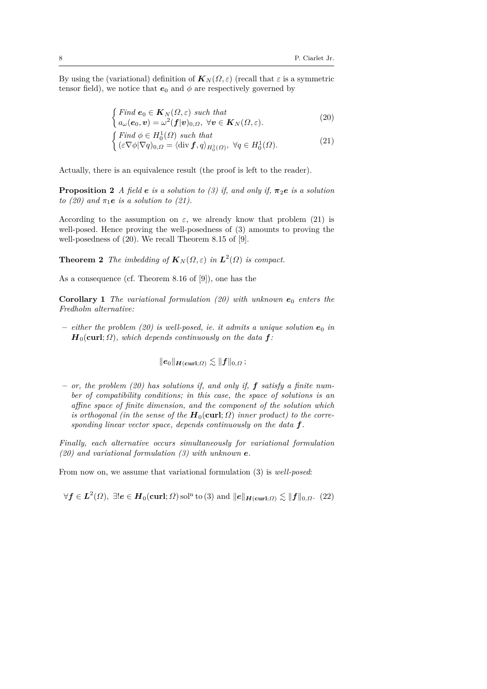By using the (variational) definition of  $K_N(\Omega, \varepsilon)$  (recall that  $\varepsilon$  is a symmetric tensor field), we notice that  $e_0$  and  $\phi$  are respectively governed by

$$
\begin{cases}\n\text{Find } \mathbf{e}_0 \in \mathbf{K}_N(\Omega, \varepsilon) \text{ such that} \\
a_{\omega}(\mathbf{e}_0, \mathbf{v}) = \omega^2(\mathbf{f}|\mathbf{v})_{0,\Omega}, \ \forall \mathbf{v} \in \mathbf{K}_N(\Omega, \varepsilon).\n\end{cases} \tag{20}
$$

$$
\begin{cases}\n\text{Find } \phi \in H_0^1(\Omega) \text{ such that} \\
(\varepsilon \nabla \phi | \nabla q)_{0,\Omega} = \langle \text{div } f, q \rangle_{H_0^1(\Omega)}, \ \forall q \in H_0^1(\Omega).\n\end{cases} \tag{21}
$$

Actually, there is an equivalence result (the proof is left to the reader).

**Proposition 2** *A* field *e is a solution to (3) if, and only if,*  $\pi_2 e$  *is a solution to (20)* and  $\pi_1 e$  *is a solution to (21).* 

According to the assumption on  $\varepsilon$ , we already know that problem (21) is well-posed. Hence proving the well-posedness of (3) amounts to proving the well-posedness of (20). We recall Theorem 8.15 of [9].

**Theorem 2** *The imbedding of*  $K_N(\Omega, \varepsilon)$  *in*  $L^2(\Omega)$  *is compact.* 

As a consequence (cf. Theorem 8.16 of [9]), one has the

**Corollary 1** *The variational formulation (20) with unknown*  $e_0$  *enters the Fredholm alternative:*

 $-$  *either the problem (20) is well-posed, ie. it admits a unique solution*  $e_0$  *in*  $H_0$ (curl;  $\Omega$ ), which depends continuously on the data  $f$ :

$$
\|e_0\|_{\boldsymbol H(\boldsymbol{\operatorname{curl}};\varOmega)}\lesssim \| \boldsymbol f\|_{0,\varOmega}\,;
$$

**–** *or, the problem (20) has solutions if, and only if, f satisfy a finite number of compatibility conditions; in this case, the space of solutions is an affine space of finite dimension, and the component of the solution which is orthogonal (in the sense of the*  $H_0$ (curl;  $\Omega$ ) *inner product)* to the corre*sponding linear vector space, depends continuously on the data f.*

*Finally, each alternative occurs simultaneously for variational formulation (20) and variational formulation (3) with unknown e.*

From now on, we assume that variational formulation (3) is *well-posed*:

 $\forall f \in L^2(\Omega), \exists! e \in H_0(\textbf{curl}; \Omega) \, \text{sol}^{\text{n}}$  to (3) and  $\|e\|_{\boldsymbol H(\textbf{curl}; \Omega)} \lesssim \|f\|_{0,\Omega}$ . (22)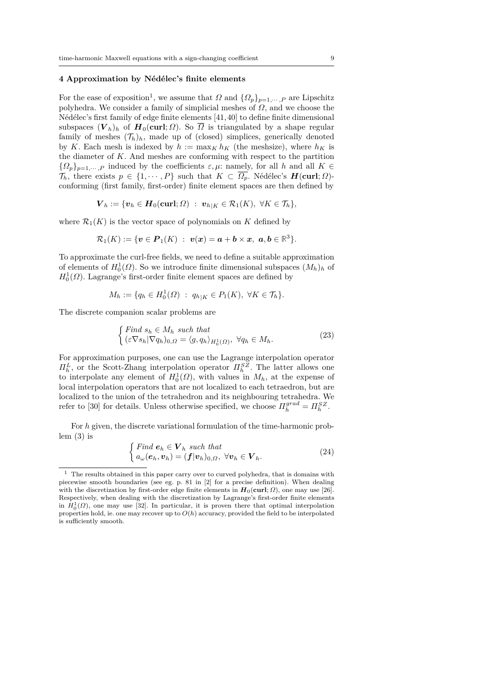#### **4 Approximation by N´ed´elec's finite elements**

For the ease of exposition<sup>1</sup>, we assume that  $\Omega$  and  $\{\Omega_p\}_{p=1,\dots,P}$  are Lipschitz polyhedra. We consider a family of simplicial meshes of *Ω*, and we choose the Nédélec's first family of edge finite elements  $[41, 40]$  to define finite dimensional subspaces  $(V_h)_h$  of  $H_0(\text{curl}; \Omega)$ . So  $\overline{\Omega}$  is triangulated by a shape regular family of meshes  $(\mathcal{T}_h)_h$ , made up of (closed) simplices, generically denoted by *K*. Each mesh is indexed by  $h := \max_K h_K$  (the meshsize), where  $h_K$  is the diameter of *K*. And meshes are conforming with respect to the partition  ${Q_p}_{p=1,\dots,P}$  induced by the coefficients  $\varepsilon, \mu$ : namely, for all *h* and all *K* ∈  $\mathcal{T}_h$ , there exists  $p \in \{1, \dots, P\}$  such that  $K \subset \overline{\Omega_p}$ . Nédélec's  $H(\text{curl}; \Omega)$ conforming (first family, first-order) finite element spaces are then defined by

$$
\boldsymbol{V}_h := \{ \boldsymbol{v}_h \in \boldsymbol{H}_0(\boldsymbol{\operatorname{curl}};\Omega) \; : \; \boldsymbol{v}_h|_K \in \mathcal{R}_1(K), \; \forall K \in \mathcal{T}_h \},
$$

where  $\mathcal{R}_1(K)$  is the vector space of polynomials on K defined by

$$
\mathcal{R}_1(K):=\{\boldsymbol{v}\in\boldsymbol{P}_1(K)\ :\ \boldsymbol{v}(\boldsymbol{x})=\boldsymbol{a}+\boldsymbol{b}\times\boldsymbol{x},\ \boldsymbol{a},\boldsymbol{b}\in\mathbb{R}^3\}.
$$

To approximate the curl-free fields, we need to define a suitable approximation of elements of  $H_0^1(\Omega)$ . So we introduce finite dimensional subspaces  $(M_h)_h$  of  $H_0^1(\Omega)$ . Lagrange's first-order finite element spaces are defined by

$$
M_h := \{ q_h \in H_0^1(\Omega) \; : \; q_{h|K} \in P_1(K), \; \forall K \in \mathcal{T}_h \}.
$$

The discrete companion scalar problems are

$$
\begin{cases} \text{Find } s_h \in M_h \text{ such that} \\ (\varepsilon \nabla s_h | \nabla q_h)_{0,\Omega} = \langle g, q_h \rangle_{H_0^1(\Omega)}, \ \forall q_h \in M_h. \end{cases} \tag{23}
$$

For approximation purposes, one can use the Lagrange interpolation operator *Π*<sup>*L*</sup></sup>, or the Scott-Zhang interpolation operator  $\Pi_h^{SZ}$ . The latter allows one to interpolate any element of  $H_0^1(\Omega)$ , with values in  $M_h$ , at the expense of local interpolation operators that are not localized to each tetraedron, but are localized to the union of the tetrahedron and its neighbouring tetrahedra. We refer to [30] for details. Unless otherwise specified, we choose  $\Pi_h^{grad} = \Pi_h^{SZ}$ .

For *h* given, the discrete variational formulation of the time-harmonic problem  $(3)$  is

$$
\begin{cases}\n\text{Find } \mathbf{e}_h \in \mathbf{V}_h \text{ such that} \\
a_{\omega}(\mathbf{e}_h, \mathbf{v}_h) = (\mathbf{f}|\mathbf{v}_h)_{0,\Omega}, \forall \mathbf{v}_h \in \mathbf{V}_h.\n\end{cases} \tag{24}
$$

 $^{\rm 1}$  The results obtained in this paper carry over to curved polyhedra, that is domains with piecewise smooth boundaries (see eg. p. 81 in [2] for a precise definition). When dealing with the discretization by first-order edge finite elements in  $H_0(\text{curl}; \Omega)$ , one may use [26]. Respectively, when dealing with the discretization by Lagrange's first-order finite elements in  $H_0^1(\Omega)$ , one may use [32]. In particular, it is proven there that optimal interpolation properties hold, ie. one may recover up to  $O(h)$  accuracy, provided the field to be interpolated is sufficiently smooth.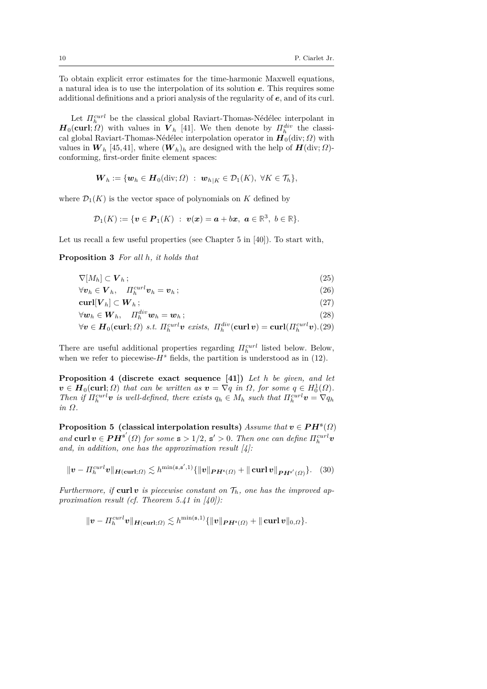To obtain explicit error estimates for the time-harmonic Maxwell equations, a natural idea is to use the interpolation of its solution *e*. This requires some additional definitions and a priori analysis of the regularity of *e*, and of its curl.

Let  $\Pi_h^{curl}$  be the classical global Raviart-Thomas-Nédélec interpolant in  $H_0(\text{curl}; \Omega)$  with values in  $V_h$  [41]. We then denote by  $\Pi_h^{div}$  the classical global Raviart-Thomas-Nédélec interpolation operator in  $H_0(\text{div}; \Omega)$  with values in  $W_h$  [45, 41], where  $(W_h)_h$  are designed with the help of  $H(\text{div}; \Omega)$ conforming, first-order finite element spaces:

$$
\boldsymbol{W}_h := \{\boldsymbol{w}_h \in \boldsymbol{H}_0(\mathrm{div};\Omega) \; : \; \boldsymbol{w}_{h|K} \in \mathcal{D}_1(K), \; \forall K \in \mathcal{T}_h\},
$$

where  $\mathcal{D}_1(K)$  is the vector space of polynomials on *K* defined by

$$
\mathcal{D}_1(K):=\{\boldsymbol{v}\in\boldsymbol{P}_1(K)\ :\ \boldsymbol{v}(\boldsymbol{x})=\boldsymbol{a}+b\boldsymbol{x},\ \boldsymbol{a}\in\mathbb{R}^3,\ b\in\mathbb{R}\}.
$$

Let us recall a few useful properties (see Chapter 5 in [40]). To start with,

**Proposition 3** *For all h, it holds that*

$$
\nabla[M_h] \subset \mathbf{V}_h \, ; \tag{25}
$$

$$
\forall \boldsymbol{v}_h \in \boldsymbol{V}_h, \quad \Pi_h^{curl} \boldsymbol{v}_h = \boldsymbol{v}_h \, ; \tag{26}
$$

$$
\operatorname{curl}[\boldsymbol{V}_h] \subset \boldsymbol{W}_h \, ; \tag{27}
$$

$$
\forall \boldsymbol{w}_h \in \boldsymbol{W}_h, \quad \Pi_h^{div} \boldsymbol{w}_h = \boldsymbol{w}_h \, ; \tag{28}
$$

$$
\forall v \in H_0(\text{curl}; \Omega) \text{ s.t. } \Pi_h^{curl} v \text{ exists, } \Pi_h^{div}(\text{curl } v) = \text{curl}(\Pi_h^{curl} v). (29)
$$

There are useful additional properties regarding *Πcurl h* listed below. Below, when we refer to piecewise- $H^s$  fields, the partition is understood as in (12).

**Proposition 4 (discrete exact sequence [41])** *Let h be given, and let*  $v \in H_0(\text{curl}; \Omega)$  *that can be written as*  $v = \nabla q$  *in*  $\Omega$ *, for some*  $q \in H_0^1(\Omega)$ *. Then if*  $\Pi_h^{curl}$ *v is well-defined, there exists*  $q_h \in M_h$  *such that*  $\Pi_h^{curl}$ *v* =  $\nabla q_h$ *in Ω.*

**Proposition 5** (classical interpolation results)  $\text{Assume that } v \in PH^s(\Omega)$ *and* **curl**  $v \in PH^{s'}(\Omega)$  *for some*  $s > 1/2$ ,  $s' > 0$ *. Then one can define*  $\Pi_h^{curl}v$ *and, in addition, one has the approximation result [4]:*

$$
\|\boldsymbol{v} - \boldsymbol{\Pi}_h^{curl} \boldsymbol{v}\|_{\boldsymbol{H}(\boldsymbol{\operatorname{curl}};\Omega)} \lesssim h^{\min(\mathbf{s},\mathbf{s}',1)} \{\|\boldsymbol{v}\|_{\boldsymbol{PH}^{\mathbf{s}}(\Omega)} + \|\boldsymbol{\operatorname{curl}} \boldsymbol{v}\|_{\boldsymbol{PH}^{\mathbf{s}'}(\Omega)}\}.
$$
 (30)

*Furthermore, if* curl *v is piecewise constant on*  $\mathcal{T}_h$ *, one has the improved approximation result (cf. Theorem 5.41 in [40]):*

$$
\|\boldsymbol{v}-\Pi_h^{curl}\boldsymbol{v}\|_{\boldsymbol{H}(\boldsymbol{\operatorname{curl}};\varOmega)}\lesssim h^{\min(\mathbf{s},1)}\{\|\boldsymbol{v}\|_{\boldsymbol{PH}^{\mathbf{s}}(\varOmega)}+\|\boldsymbol{\operatorname{curl}}\,\boldsymbol{v}\|_{0,\varOmega}\}.
$$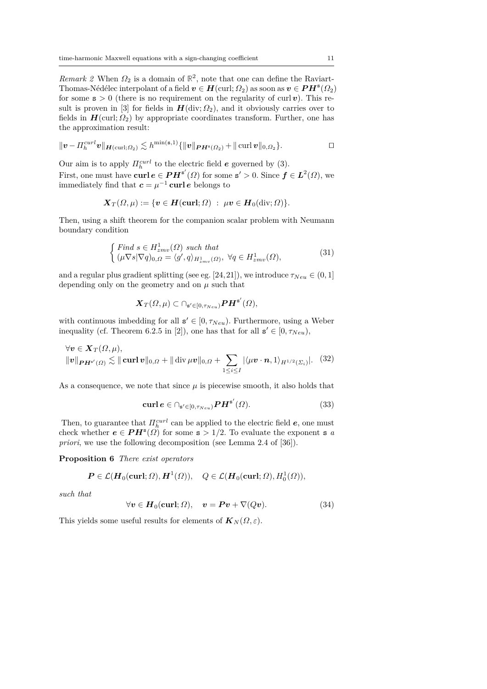*Remark 2* When  $\Omega_2$  is a domain of  $\mathbb{R}^2$ , note that one can define the Raviart-Thomas-Nédélec interpolant of a field  $v \in H$ (curl;  $\Omega_2$ ) as soon as  $v \in PH^{s}(\Omega_2)$ for some  $s > 0$  (there is no requirement on the regularity of curl *v*). This result is proven in [3] for fields in  $H$ (div;  $\Omega_2$ ), and it obviously carries over to fields in  $H(\text{curl}; \Omega_2)$  by appropriate coordinates transform. Further, one has the approximation result:

$$
\|\boldsymbol{v}-\Pi_h^{curl}\boldsymbol{v}\|_{\boldsymbol{H}(\mathrm{curl};\Omega_2)}\lesssim h^{\min(\mathbf{s},1)}\{\|\boldsymbol{v}\|_{\boldsymbol{PH}^{\mathbf{s}}(\Omega_2)}+\|\operatorname{curl}\boldsymbol{v}\|_{0,\Omega_2}\}.
$$

Our aim is to apply  $\Pi_h^{curl}$  to the electric field *e* governed by (3). First, one must have  $\text{curl } e \in PH^{s'}(\Omega)$  for some  $s' > 0$ . Since  $f \in L^2(\Omega)$ , we immediately find that  $c = \mu^{-1}$  curl *e* belongs to

$$
\boldsymbol{X}_T(\Omega,\mu) := \{ \boldsymbol{v} \in \boldsymbol{H}(\boldsymbol{\operatorname{curl}};\Omega) \; : \; \mu \boldsymbol{v} \in \boldsymbol{H}_0(\operatorname{div};\Omega) \}.
$$

Then, using a shift theorem for the companion scalar problem with Neumann boundary condition

$$
\begin{cases} \text{Find } s \in H_{zmv}^1(\Omega) \text{ such that} \\ (\mu \nabla s | \nabla q)_{0,\Omega} = \langle g', q \rangle_{H_{zmv}^1(\Omega)}, \ \forall q \in H_{zmv}^1(\Omega), \end{cases} \tag{31}
$$

and a regular plus gradient splitting (see eg. [24, 21]), we introduce  $\tau_{Neu} \in (0, 1]$ depending only on the geometry and on  $\mu$  such that

$$
\boldsymbol{X}_T(\varOmega,\mu) \subset \cap_{\mathbf{s}' \in [0,\tau_{Neu})} \boldsymbol{P}\boldsymbol{H}^{\mathbf{s}'}(\varOmega),
$$

with continuous imbedding for all  $s' \in [0, \tau_{Neu})$ . Furthermore, using a Weber inequality (cf. Theorem 6.2.5 in [2]), one has that for all  $s' \in [0, \tau_{Neu})$ ,

$$
\forall \mathbf{v} \in \mathbf{X}_T(\Omega, \mu), \n\|\mathbf{v}\|_{\mathbf{P} \mathbf{H}^{s'}(\Omega)} \lesssim \|\mathbf{curl}\,\mathbf{v}\|_{0,\Omega} + \|\mathbf{div}\,\mu\mathbf{v}\|_{0,\Omega} + \sum_{1 \leq i \leq I} |\langle \mu \mathbf{v} \cdot \mathbf{n}, 1 \rangle_{H^{1/2}(\Sigma_i)}|. \tag{32}
$$

As a consequence, we note that since  $\mu$  is piecewise smooth, it also holds that

$$
\operatorname{curl} \boldsymbol{e} \in \bigcap_{\mathbf{s}' \in [0, \tau_{Neu})} \boldsymbol{P} \boldsymbol{H}^{\mathbf{s}'}(\Omega). \tag{33}
$$

Then, to guarantee that  $\Pi_h^{curl}$  can be applied to the electric field  $e$ , one must check whether  $e \in PH^{s}(\Omega)$  for some  $s > 1/2$ . To evaluate the exponent s *a priori*, we use the following decomposition (see Lemma 2.4 of [36]).

**Proposition 6** *There exist operators*

$$
\boldsymbol{P} \in \mathcal{L}(\boldsymbol{H}_0(\boldsymbol{\operatorname{curl}};\Omega),\boldsymbol{H}^1(\Omega)), \quad Q \in \mathcal{L}(\boldsymbol{H}_0(\boldsymbol{\operatorname{curl}};\Omega),H^1_0(\Omega)),
$$

*such that*

$$
\forall v \in H_0(\text{curl}; \Omega), \quad v = \mathbf{P}v + \nabla(Qv). \tag{34}
$$

This yields some useful results for elements of  $K_N(\Omega, \varepsilon)$ .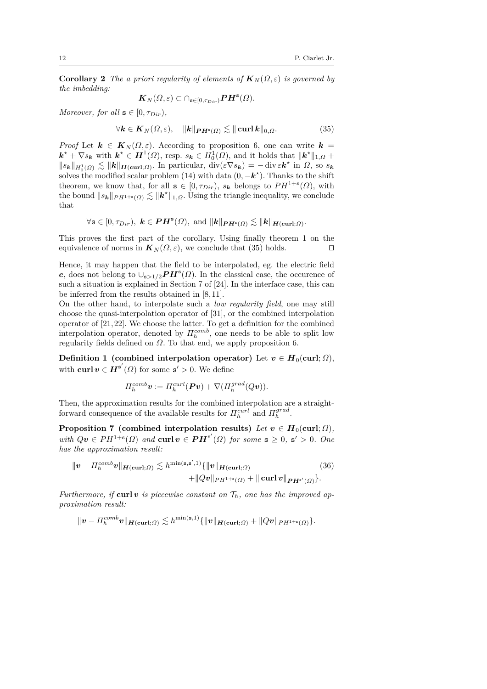**Corollary 2** *The a priori regularity of elements of*  $K_N(\Omega, \varepsilon)$  *is governed by the imbedding:*

$$
\boldsymbol{K}_N(\Omega,\varepsilon)\subset \cap_{\mathbf{s}\in[0,\tau_{Dir})} \boldsymbol{P}\boldsymbol{H}^{\mathbf{s}}(\Omega).
$$

*Moreover, for all*  $s \in [0, \tau_{Dir})$ *,* 

$$
\forall \mathbf{k} \in \mathbf{K}_N(\Omega, \varepsilon), \quad \|\mathbf{k}\|_{\mathbf{P} \mathbf{H}^s(\Omega)} \lesssim \|\mathbf{curl}\,\mathbf{k}\|_{0,\Omega}.\tag{35}
$$

*Proof* Let  $k \in K_N(\Omega, \varepsilon)$ . According to proposition 6, one can write  $k =$  $k^* + \nabla s_k$  with  $k^* \in H^1(\Omega)$ , resp.  $s_k \in H_0^1(\Omega)$ , and it holds that  $||k^*||_{1,\Omega}$  +  $||s_{k}||_{H_{0}^{1}(\Omega)} \lesssim ||k||_{H(\text{curl};\Omega)}$ . In particular,  $\text{div}(\varepsilon \nabla s_{k}) = -\text{div} \varepsilon k^*$  in  $\Omega$ , so  $s_{k}$ solves the modified scalar problem (14) with data  $(0, -k^*)$ . Thanks to the shift theorem, we know that, for all  $\mathbf{s} \in [0, \tau_{Dir})$ ,  $s_k$  belongs to  $PH^{1+s}(\Omega)$ , with the bound  $||s_{\mathbf{k}}||_{PH^{1+s}(\Omega)} \lesssim ||\mathbf{k}^*||_{1,\Omega}$ . Using the triangle inequality, we conclude that

$$
\forall \mathbf{s} \in [0, \tau_{Dir}), \ \mathbf{k} \in \boldsymbol{PH}^{\mathbf{s}}(\Omega), \text{ and } \|\mathbf{k}\|_{\boldsymbol{PH}^{\mathbf{s}}(\Omega)} \lesssim \|\mathbf{k}\|_{\boldsymbol{H}(\mathbf{curl};\Omega)}.
$$

This proves the first part of the corollary. Using finally theorem 1 on the equivalence of norms in  $K_N(\Omega, \varepsilon)$ , we conclude that (35) holds.  $\square$ 

Hence, it may happen that the field to be interpolated, eg. the electric field *e*, does not belong to  $\cup_{s>1/2}PH^s(\Omega)$ . In the classical case, the occurence of such a situation is explained in Section 7 of [24]. In the interface case, this can be inferred from the results obtained in [8, 11].

On the other hand, to interpolate such a *low regularity field*, one may still choose the quasi-interpolation operator of [31], or the combined interpolation operator of [21, 22]. We choose the latter. To get a definition for the combined interpolation operator, denoted by  $\Pi_h^{comb}$ , one needs to be able to split low regularity fields defined on *Ω*. To that end, we apply proposition 6.

**Definition 1** (combined interpolation operator) Let  $v \in H_0(\text{curl}; \Omega)$ , with **curl**  $v \in H^{s'}(\Omega)$  for some  $s' > 0$ . We define

$$
\Pi_h^{comb} \mathbf{v} := \Pi_h^{curl} (\mathbf{P} \mathbf{v}) + \nabla (\Pi_h^{grad} (Q \mathbf{v})).
$$

Then, the approximation results for the combined interpolation are a straightforward consequence of the available results for  $\Pi_h^{curl}$  and  $\Pi_h^{grad}$ .

**Proposition 7** (combined interpolation results) *Let*  $v \in H_0(\text{curl}; \Omega)$ *,*  $with Qv \in PH^{1+s}(\Omega)$  and  $\text{curl } v \in PH^{s'}(\Omega)$  *for some*  $s \geq 0$ *,*  $s' > 0$ *. One has the approximation result:*

$$
\|\mathbf{v} - \Pi_h^{comb}\mathbf{v}\|_{\mathbf{H}(\mathbf{curl};\Omega)} \lesssim h^{\min(\mathbf{s},\mathbf{s}',1)} \{\|\mathbf{v}\|_{\mathbf{H}(\mathbf{curl};\Omega)} + \|Q\mathbf{v}\|_{\mathbf{H}^{(1+s)}(\Omega)} + \|\mathbf{curl}\,\mathbf{v}\|_{\mathbf{P}\mathbf{H}^{s'}(\Omega)}\}.
$$
\n(36)

*Furthermore, if* curl *v is piecewise constant on*  $\mathcal{T}_h$ *, one has the improved approximation result:*

$$
\|\boldsymbol{v}-\Pi_h^{comb}\boldsymbol{v}\|_{\boldsymbol{H}(\boldsymbol{\operatorname{curl}};\Omega)} \lesssim h^{\min(\mathbf{s},1)}\{\|\boldsymbol{v}\|_{\boldsymbol{H}(\boldsymbol{\operatorname{curl}};\Omega)}+\|Q\boldsymbol{v}\|_{PH^{1+\mathbf{s}}(\Omega)}\}.
$$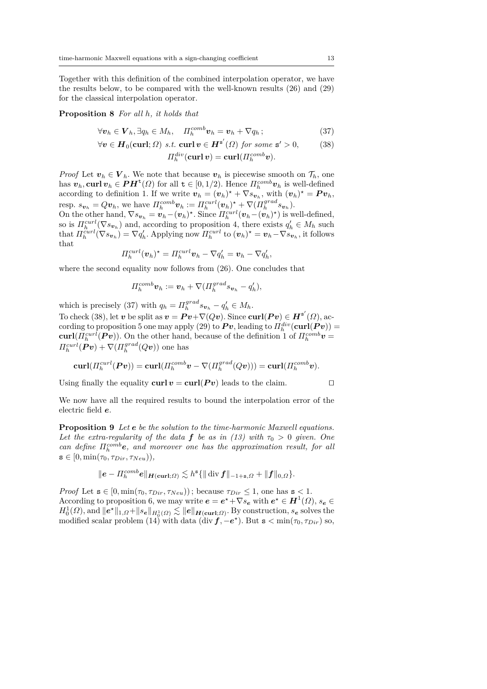Together with this definition of the combined interpolation operator, we have the results below, to be compared with the well-known results (26) and (29) for the classical interpolation operator.

#### **Proposition 8** *For all h, it holds that*

$$
\forall \mathbf{v}_h \in \mathbf{V}_h, \exists q_h \in M_h, \quad \Pi_h^{comb} \mathbf{v}_h = \mathbf{v}_h + \nabla q_h \, ; \tag{37}
$$

$$
\forall v \in H_0(\text{curl}; \Omega) \text{ s.t. } \text{curl } v \in H^{\mathbf{s}'}(\Omega) \text{ for some } \mathbf{s}' > 0,
$$
 (38)

 $\Pi_h^{div}(\mathbf{curl}\,\bm{v}) = \mathbf{curl}(H_h^{comb}\bm{v}).$ 

*Proof* Let  $v_h \in V_h$ . We note that because  $v_h$  is piecewise smooth on  $\mathcal{T}_h$ , one has  $v_h$ , curl  $v_h \in PH^{\text{t}}(\Omega)$  for all  $t \in [0, 1/2)$ . Hence  $\Pi_h^{comb}v_h$  is well-defined according to definition 1. If we write  $\mathbf{v}_h = (\mathbf{v}_h)^* + \nabla s_{\mathbf{v}_h}$ , with  $(\mathbf{v}_h)^* = \mathbf{P} \mathbf{v}_h$ , resp.  $s_{\boldsymbol{v}_h} = Q \boldsymbol{v}_h$ , we have  $\Pi_h^{comb} \boldsymbol{v}_h := \Pi_h^{curl} (\boldsymbol{v}_h)^{\star} + \nabla (\Pi_h^{grad} s_{\boldsymbol{v}_h}).$ On the other hand,  $\nabla s_{\boldsymbol{v}_h} = \boldsymbol{v}_h - (\boldsymbol{v}_h)^*$ . Since  $\Pi_h^{curl}(\boldsymbol{v}_h - (\boldsymbol{v}_h)^*)$  is well-defined,

so is  $\Pi_h^{curl}(\nabla s_{\nu_h})$  and, according to proposition 4, there exists  $q'_h \in M_h$  such that  $\Pi_h^{curl}(\nabla s_{\boldsymbol{v}_h}) = \nabla q'_h$ . Applying now  $\Pi_h^{curl}$  to  $(\boldsymbol{v}_h)^* = \boldsymbol{v}_h - \nabla s_{\boldsymbol{v}_h}$ , it follows that

$$
\Pi_h^{curl}(\boldsymbol{v}_h)^{\star} = \Pi_h^{curl} \boldsymbol{v}_h - \nabla q'_h = \boldsymbol{v}_h - \nabla q'_h,
$$

where the second equality now follows from  $(26)$ . One concludes that

$$
\Pi_h^{comb} \boldsymbol{v}_h := \boldsymbol{v}_h + \nabla (\Pi_h^{grad} s_{\boldsymbol{v}_h} - q_h'),
$$

which is precisely (37) with  $q_h = \prod_h^{grad} s_{\mathbf{v}_h} - q'_h \in M_h$ . To check (38), let *v* be split as  $v = \mathbf{P}v + \nabla(Qv)$ . Since  $\text{curl}(\mathbf{P}v) \in \mathbf{H}^{\mathbf{s}'}(\Omega)$ , ac- $\text{carding to proposition 5 one may apply (29) to } \boldsymbol{Pv}, \text{leading to } \boldsymbol{\varPi}^{div}_h(\boldsymbol{\mathrm{curl}}(\boldsymbol{Pv})) =$ **curl**( $\Pi_h^{curl}$ **(***Pv***)). On the other hand, because of the definition 1 of**  $\Pi_h^{comb}$ **<b>***v* =  $\Pi_h^{curl}$   $(Pv) + \nabla (H_h^{grad}(Qv))$  one has

$$
\text{\textbf{curl}}( \varPi^{\text{curl}}_{h}(\boldsymbol{P} \boldsymbol{v}))=\text{\textbf{curl}}( \varPi^{\text{comb}}_{h} \boldsymbol{v}-\nabla( \varPi^{\text{grad}}_{h}(Q \boldsymbol{v})))=\text{\textbf{curl}}( \varPi^{\text{comb}}_{h} \boldsymbol{v}).
$$

Using finally the equality  $\text{curl } v = \text{curl}(P v)$  leads to the claim.

We now have all the required results to bound the interpolation error of the electric field *e*.

**Proposition 9** *Let e be the solution to the time-harmonic Maxwell equations.* Let the extra-regularity of the data **f** be as in (13) with  $\tau_0 > 0$  given. One *can define*  $\Pi_h^{comb}$ *e*, and moreover one has the approximation result, for all  $s \in [0, \min(\tau_0, \tau_{Dir}, \tau_{Neu})),$ 

$$
\|\mathbf{e}-\Pi_h^{comb}\mathbf{e}\|_{\mathbf{H}(\mathbf{curl};\Omega)} \lesssim h^{\mathbf{s}} \{\|\operatorname{div}\mathbf{f}\|_{-1+\mathbf{s},\Omega} + \|\mathbf{f}\|_{0,\Omega}\}.
$$

*Proof* Let  $\mathbf{s} \in [0, \min(\tau_0, \tau_{Dir}, \tau_{Neu}))$ ; because  $\tau_{Dir} \leq 1$ , one has  $\mathbf{s} < 1$ . According to proposition 6, we may write  $e = e^* + \nabla s_e$  with  $e^* \in H^1(\Omega)$ ,  $s_e \in$  $H_0^1(\Omega)$ , and  $\lVert e^* \rVert_{1,\Omega} + \lVert s_e \rVert_{H_0^1(\Omega)} \lesssim \lVert e \rVert_{\mathbf{H}(\mathbf{curl};\Omega)}$ . By construction,  $s_e$  solves the modified scalar problem (14) with data (div  $f, -e^*$ ). But  $s < min(\tau_0, \tau_{Dir})$  so,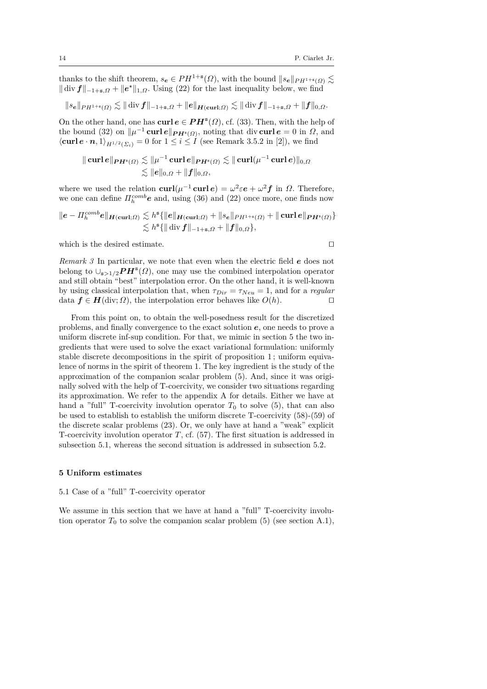thanks to the shift theorem,  $s_e \in PH^{1+s}(\Omega)$ , with the bound  $||s_e||_{PH^{1+s}(\Omega)} \lesssim$  $\|\text{div } f\|_{-1+s,\Omega} + \|e^{\star}\|_{1,\Omega}$ . Using (22) for the last inequality below, we find

$$
\|s_{\mathbf{e}}\|_{PH^{1+s}(\Omega)} \lesssim \|\,\mathrm{div}\,\bm{f}\|_{-1+s,\Omega} + \|\bm{e}\|_{\bm{H}(\mathbf{curl};\Omega)} \lesssim \|\,\mathrm{div}\,\bm{f}\|_{-1+s,\Omega} + \|\bm{f}\|_{0,\Omega}.
$$

On the other hand, one has  $\text{curl } e \in PH^s(\Omega)$ , cf. (33). Then, with the help of the bound (32) on  $\|\mu^{-1}$  **curl**  $e\|_{PH^s(\Omega)}$ , noting that div **curl**  $e = 0$  in  $\Omega$ , and  $\langle \mathbf{curl}\,\mathbf{e}\cdot\mathbf{n},1\rangle_{H^{1/2}(\Sigma_i)}=0$  for  $1\leq i\leq I$  (see Remark 3.5.2 in [2]), we find

$$
\begin{aligned} \|\operatorname{curl} e\|_{\boldsymbol{PH}^s(\varOmega)} &\lesssim \|\mu^{-1}\operatorname{curl} e\|_{\boldsymbol{PH}^s(\varOmega)} \lesssim \|\operatorname{curl}(\mu^{-1}\operatorname{curl} e)\|_{0,\varOmega} \\ &\lesssim \|e\|_{0,\varOmega} + \|f\|_{0,\varOmega}, \end{aligned}
$$

where we used the relation  $\text{curl}(\mu^{-1} \text{curl} \, \boldsymbol{e}) = \omega^2 \varepsilon \boldsymbol{e} + \omega^2 \boldsymbol{f}$  in  $\Omega$ . Therefore, we one can define  $\Pi_h^{comb}$ **e** and, using (36) and (22) once more, one finds now

$$
\|e - \Pi_h^{comb}e\|_{\mathbf{H}(\mathbf{curl};\Omega)} \lesssim h^s \{\|e\|_{\mathbf{H}(\mathbf{curl};\Omega)} + \|s_e\|_{PH^{1+s}(\Omega)} + \|\mathbf{curl}\,e\|_{\mathbf{P}\mathbf{H}^s(\Omega)}\}
$$
  

$$
\lesssim h^s \{\|\mathbf{div}\,f\|_{-1+s,\Omega} + \|f\|_{0,\Omega}\},
$$

which is the desired estimate.  $\Box$ 

*Remark 3* In particular, we note that even when the electric field *e* does not belong to  $\cup_{s>1/2}$  $PH^s(\Omega)$ , one may use the combined interpolation operator and still obtain "best" interpolation error. On the other hand, it is well-known by using classical interpolation that, when  $\tau_{Dir} = \tau_{Neu} = 1$ , and for a *regular* data  $f \in H(\text{div}; \Omega)$ , the interpolation error behaves like  $O(h)$ .

From this point on, to obtain the well-posedness result for the discretized problems, and finally convergence to the exact solution *e*, one needs to prove a uniform discrete inf-sup condition. For that, we mimic in section 5 the two ingredients that were used to solve the exact variational formulation: uniformly stable discrete decompositions in the spirit of proposition 1 ; uniform equivalence of norms in the spirit of theorem 1. The key ingredient is the study of the approximation of the companion scalar problem (5). And, since it was originally solved with the help of T-coercivity, we consider two situations regarding its approximation. We refer to the appendix A for details. Either we have at hand a "full" T-coercivity involution operator  $T_0$  to solve  $(5)$ , that can also be used to establish to establish the uniform discrete T-coercivity (58)-(59) of the discrete scalar problems (23). Or, we only have at hand a "weak" explicit T-coercivity involution operator *T*, cf. (57). The first situation is addressed in subsection 5.1, whereas the second situation is addressed in subsection 5.2.

#### **5 Uniform estimates**

#### 5.1 Case of a "full" T-coercivity operator

We assume in this section that we have at hand a "full" T-coercivity involution operator  $T_0$  to solve the companion scalar problem (5) (see section A.1),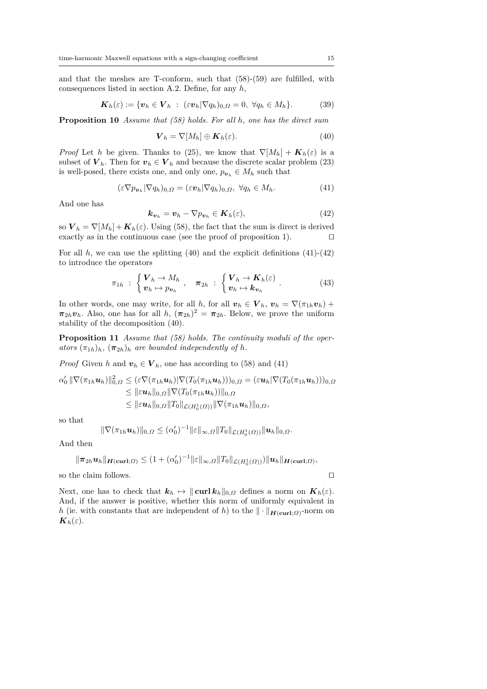and that the meshes are T-conform, such that (58)-(59) are fulfilled, with consequences listed in section A.2. Define, for any *h*,

$$
\boldsymbol{K}_h(\varepsilon) := \{ \boldsymbol{v}_h \in \boldsymbol{V}_h : (\varepsilon \boldsymbol{v}_h | \nabla q_h)_{0,\Omega} = 0, \ \forall q_h \in M_h \}. \tag{39}
$$

**Proposition 10** *Assume that (58) holds. For all h, one has the direct sum*

$$
\mathbf{V}_h = \nabla[M_h] \oplus \mathbf{K}_h(\varepsilon). \tag{40}
$$

*Proof* Let *h* be given. Thanks to (25), we know that  $\nabla[M_h] + K_h(\varepsilon)$  is a subset of  $V_h$ . Then for  $v_h \in V_h$  and because the discrete scalar problem (23) is well-posed, there exists one, and only one,  $p_{\boldsymbol{v}_h} \in M_h$  such that

$$
(\varepsilon \nabla p_{\boldsymbol{v}_h} | \nabla q_h)_{0,\Omega} = (\varepsilon \boldsymbol{v}_h | \nabla q_h)_{0,\Omega}, \ \forall q_h \in M_h.
$$
 (41)

And one has

$$
\boldsymbol{k}_{\boldsymbol{v}_h} = \boldsymbol{v}_h - \nabla p_{\boldsymbol{v}_h} \in \boldsymbol{K}_h(\varepsilon),\tag{42}
$$

so  $V_h = \nabla [M_h] + K_h(\varepsilon)$ . Using (58), the fact that the sum is direct is derived exactly as in the continuous case (see the proof of proposition 1).  $\Box$ 

For all  $h$ , we can use the splitting  $(40)$  and the explicit definitions  $(41)-(42)$ to introduce the operators

$$
\pi_{1h} \; : \; \begin{cases} \boldsymbol{V}_h \to M_h \\ \boldsymbol{v}_h \mapsto p_{\boldsymbol{v}_h} \end{cases}, \quad \boldsymbol{\pi}_{2h} \; : \; \begin{cases} \boldsymbol{V}_h \to \boldsymbol{K}_h(\varepsilon) \\ \boldsymbol{v}_h \mapsto \boldsymbol{k}_{\boldsymbol{v}_h} \end{cases} . \tag{43}
$$

In other words, one may write, for all *h*, for all  $v_h \in V_h$ ,  $v_h = \nabla(\pi_{1h}v_h) +$  $\pi_{2h}v_h$ . Also, one has for all *h*,  $(\pi_{2h})^2 = \pi_{2h}$ . Below, we prove the uniform stability of the decomposition (40).

**Proposition 11** *Assume that (58) holds. The continuity moduli of the operators*  $(\pi_{1h})_h$ *,*  $(\pi_{2h})_h$  *are bounded independently of h.* 

*Proof* Given *h* and  $v_h \in V_h$ , one has according to (58) and (41)

$$
\alpha'_0 \|\nabla(\pi_{1h}\boldsymbol{u}_h)\|_{0,\Omega}^2 \leq (\varepsilon \nabla(\pi_{1h}\boldsymbol{u}_h)|\nabla(T_0(\pi_{1h}\boldsymbol{u}_h)))_{0,\Omega} = (\varepsilon \boldsymbol{u}_h|\nabla(T_0(\pi_{1h}\boldsymbol{u}_h)))_{0,\Omega}
$$
  

$$
\leq \|\varepsilon \boldsymbol{u}_h\|_{0,\Omega}\|\nabla(T_0(\pi_{1h}\boldsymbol{u}_h))\|_{0,\Omega}
$$
  

$$
\leq \|\varepsilon \boldsymbol{u}_h\|_{0,\Omega}\|T_0\|_{\mathcal{L}(H_0^1(\Omega))}\|\nabla(\pi_{1h}\boldsymbol{u}_h)\|_{0,\Omega},
$$

so that

$$
\|\nabla(\pi_{1h}\mathbf{u}_h)\|_{0,\Omega}\leq (\alpha'_0)^{-1}\|\varepsilon\|_{\infty,\Omega}\|T_0\|_{\mathcal{L}(H_0^1(\Omega))}\|\mathbf{u}_h\|_{0,\Omega}.
$$

And then

$$
\|\pi_{2h} \mathbf{u}_h\|_{\mathbf{H}(\mathbf{curl};\Omega)} \leq (1+(\alpha'_0)^{-1} \|\varepsilon\|_{\infty,\Omega} \|T_0\|_{\mathcal{L}(H_0^1(\Omega))}) \|\mathbf{u}_h\|_{\mathbf{H}(\mathbf{curl};\Omega)},
$$

so the claim follows.  $\hfill \square$ 

Next, one has to check that  $k_h \mapsto ||\operatorname{curl} k_h||_{0,\Omega}$  defines a norm on  $K_h(\varepsilon)$ . And, if the answer is positive, whether this norm of uniformly equivalent in *h* (ie. with constants that are independent of *h*) to the  $\|\cdot\|_{\mathbf{H}(\mathbf{curl};\Omega)}$ -norm on  $\mathbf{K}_h(\varepsilon)$ .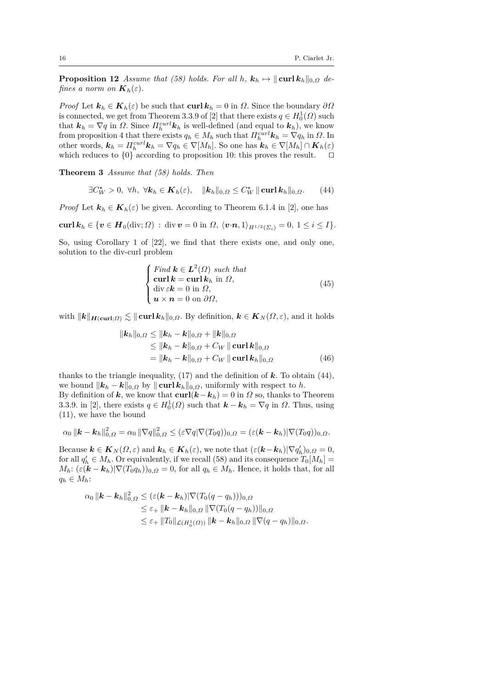**Proposition 12** *Assume that (58) holds. For all h,*  $k_h \mapsto ||\operatorname{curl} k_h||_{0,\Omega}$  *defines a norm on*  $\mathbf{K}_h(\varepsilon)$ *.* 

*Proof* Let  $\mathbf{k}_h \in \mathbf{K}_h(\varepsilon)$  be such that **curl**  $\mathbf{k}_h = 0$  in  $\Omega$ . Since the boundary  $\partial \Omega$ is connected, we get from Theorem 3.3.9 of [2] that there exists  $q \in H_0^1(\Omega)$  such is connected, we get from Theorem 3.3.9 of [2] that there exists  $q \in H_0(32)$  such that  $\mathbf{k}_h = \nabla q$  in  $\Omega$ . Since  $\Pi_h^{curl} \mathbf{k}_h$  is well-defined (and equal to  $\mathbf{k}_h$ ), we know from proposition 4 that there exists  $q_h \in M_h$  such that  $\Pi_h^{curl} \mathbf{k}_h = \nabla q_h$  in  $\Omega$ . In other words,  $\mathbf{k}_h = \prod_{h=1}^{curl} \mathbf{k}_h = \nabla q_h \in \nabla [M_h]$ . So one has  $\mathbf{k}_h \in \nabla [M_h] \cap \mathbf{K}_h(\varepsilon)$ which reduces to  $\{0\}$  according to proposition 10: this proves the result.  $\Box$ 

**Theorem 3** *Assume that (58) holds. Then*

$$
\exists C_W^{\star} > 0, \ \forall h, \ \forall k_h \in \mathbf{K}_h(\varepsilon), \quad \|\mathbf{k}_h\|_{0,\Omega} \le C_W^{\star} \|\operatorname{curl} \mathbf{k}_h\|_{0,\Omega}. \tag{44}
$$

*Proof* Let  $\mathbf{k}_h \in \mathbf{K}_h(\varepsilon)$  be given. According to Theorem 6.1.4 in [2], one has

**curl**  $k_h \in \{v \in H_0(\text{div}; \Omega) : \text{div } v = 0 \text{ in } \Omega, \ \langle v \cdot n, 1 \rangle_{H^{1/2}(\Sigma_i)} = 0, \ 1 \leq i \leq I\}.$ 

So, using Corollary 1 of [22], we find that there exists one, and only one, solution to the div-curl problem

$$
\begin{cases}\n\text{Find } \mathbf{k} \in \mathbf{L}^2(\Omega) \text{ such that} \\
\text{curl } \mathbf{k} = \text{curl } \mathbf{k}_h \text{ in } \Omega, \\
\text{div } \varepsilon \mathbf{k} = 0 \text{ in } \Omega, \\
\mathbf{u} \times \mathbf{n} = 0 \text{ on } \partial \Omega,\n\end{cases} (45)
$$

with  $\|\mathbf{k}\|_{\mathbf{H}(\mathbf{curl};\Omega)} \lesssim \|\mathbf{curl} \mathbf{k}_h\|_{0,\Omega}$ . By definition,  $\mathbf{k} \in \mathbf{K}_N(\Omega,\varepsilon)$ , and it holds

$$
\|\boldsymbol{k}_{h}\|_{0,\Omega} \leq \|\boldsymbol{k}_{h} - \boldsymbol{k}\|_{0,\Omega} + \|\boldsymbol{k}\|_{0,\Omega} \leq \|\boldsymbol{k}_{h} - \boldsymbol{k}\|_{0,\Omega} + C_{W} \|\operatorname{curl}\boldsymbol{k}\|_{0,\Omega} = \|\boldsymbol{k}_{h} - \boldsymbol{k}\|_{0,\Omega} + C_{W} \|\operatorname{curl}\boldsymbol{k}_{h}\|_{0,\Omega}
$$
(46)

thanks to the triangle inequality, (17) and the definition of *k*. To obtain (44), we bound  $\|\mathbf{k}_h - \mathbf{k}\|_{0,\Omega}$  by  $\|\operatorname{curl} \mathbf{k}_h\|_{0,\Omega}$ , uniformly with respect to *h*. By definition of *k*, we know that  $\text{curl}(k - k_h) = 0$  in  $\Omega$  so, thanks to Theorem 3.3.9. in [2], there exists  $q \in H_0^1(\Omega)$  such that  $\mathbf{k} - \mathbf{k}_h = \nabla q$  in  $\Omega$ . Thus, using (11), we have the bound

$$
\alpha_0 \|\boldsymbol{k} - \boldsymbol{k}_h\|_{0,\Omega}^2 = \alpha_0 \|\nabla q\|_{0,\Omega}^2 \leq (\varepsilon \nabla q |\nabla (T_0 q))_{0,\Omega} = (\varepsilon (\boldsymbol{k} - \boldsymbol{k}_h) |\nabla (T_0 q))_{0,\Omega}.
$$

Because  $\mathbf{k} \in \mathbf{K}_N(\Omega, \varepsilon)$  and  $\mathbf{k}_h \in \mathbf{K}_h(\varepsilon)$ , we note that  $(\varepsilon(\mathbf{k}-\mathbf{k}_h)|\nabla q_h')_{0,\Omega} = 0$ , for all  $q'_{h} \in M_{h}$ . Or equivalently, if we recall (58) and its consequence  $T_{0}[M_{h}] =$  $M_h: (\varepsilon(\mathbf{k} - \mathbf{k}_h) | \nabla (T_0 q_h))_{0,\Omega} = 0$ , for all  $q_h \in M_h$ . Hence, it holds that, for all  $q_h \in M_h$ :

$$
\alpha_0 \|{\bf k} - {\bf k}_h\|_{0,\Omega}^2 \leq (\varepsilon ({\bf k} - {\bf k}_h) |\nabla (T_0(q - q_h)))_{0,\Omega} \n\leq \varepsilon_+ \|{\bf k} - {\bf k}_h\|_{0,\Omega} \|\nabla (T_0(q - q_h))\|_{0,\Omega} \n\leq \varepsilon_+ \|T_0\|_{\mathcal{L}(H_0^1(\Omega))} \|{\bf k} - {\bf k}_h\|_{0,\Omega} \|\nabla (q - q_h)\|_{0,\Omega}.
$$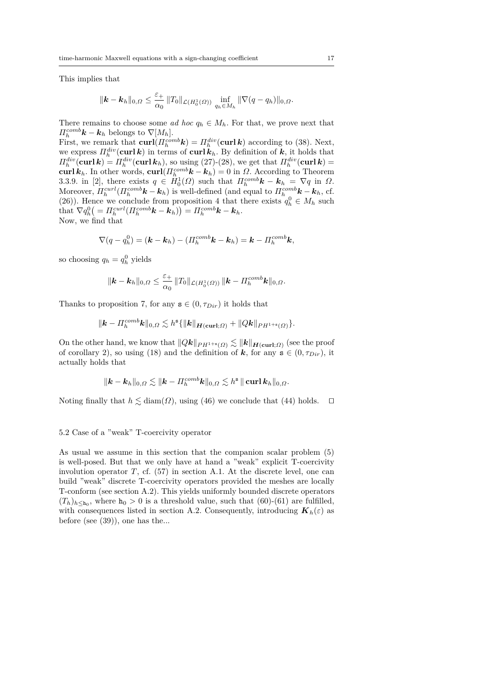This implies that

$$
\|\mathbf{k}-\mathbf{k}_h\|_{0,\Omega} \leq \frac{\varepsilon_+}{\alpha_0} \|T_0\|_{\mathcal{L}(H_0^1(\Omega))} \inf_{q_h \in M_h} \|\nabla (q-q_h)\|_{0,\Omega}.
$$

There remains to choose some *ad hoc*  $q_h \in M_h$ . For that, we prove next that  $\Pi_h^{comb}$ **k** – **k**<sub>h</sub> belongs to  $\nabla$ [ $M_h$ ].  $\int_{h}^{comb} k - k_h$  belongs to  $\nabla [M_h]$ .

First, we remark that  $\text{curl}(H_h^{comb}k) = H_h^{div}(\text{curl }k)$  according to (38). Next, we express  $\Pi_h^{div}(\textbf{curl}\,\boldsymbol{k})$  in terms of  $\textbf{curl}\,\boldsymbol{k}_h$ . By definition of  $\boldsymbol{k}$ , it holds that  $\Pi_h^{div}(\textbf{curl } \mathbf{k}) = \Pi_h^{div}(\textbf{curl } \mathbf{k}_h)$ , so using (27)-(28), we get that  $\Pi_h^{div}(\textbf{curl } \mathbf{k}) =$ **curl**  $k_h$ . In other words, **curl**( $\Pi_h^{comb}$ **k** − **k**<sub>h</sub>) = 0 in *Ω*. According to Theorem 3.3.9. in [2], there exists  $q \in H_0^1(\Omega)$  such that  $\Pi_h^{comb}$ **k**  $- k_h = \nabla q$  in  $\Omega$ . Moreover,  $\Pi_h^{curl}(\Pi_h^{comb}\mathbf{k} - \mathbf{k}_h)$  is well-defined (and equal to  $\Pi_h^{comb}\mathbf{k} - \mathbf{k}_h$ , cf. (26)). Hence we conclude from proposition 4 that there exists  $q_h^0 \in M_h$  such  $\text{that } \nabla q_h^0\big( = \Pi_h^{curl}(\Pi_h^{comb}\boldsymbol{k} - \boldsymbol{k}_h) \big) = \Pi_h^{comb}\boldsymbol{k} - \boldsymbol{k}_h.$ Now, we find that

$$
\nabla(q-q_h^0)=(\mathbf{k}-\mathbf{k}_h)-(H_h^{comb}\mathbf{k}-\mathbf{k}_h)=\mathbf{k}-H_h^{comb}\mathbf{k},
$$

so choosing  $q_h = q_h^0$  yields

$$
\|\bm{k}-\bm{k}_h\|_{0,\Omega}\leq \frac{\varepsilon_+}{\alpha_0}\|T_0\|_{\mathcal{L}(H^1_0(\Omega))}\,\|\bm{k}-\bm{\Pi}_h^{comb}\bm{k}\|_{0,\Omega}.
$$

Thanks to proposition 7, for any  $s \in (0, \tau_{Dir})$  it holds that

$$
\|\mathbf{k}-\Pi_h^{comb}\mathbf{k}\|_{0,\Omega}\lesssim h^{\mathtt{s}}\{\|\mathbf{k}\|_{\mathbf{H}(\mathbf{curl};\Omega)}+\|Q\mathbf{k}\|_{PH^{1+s}(\Omega)}\}.
$$

On the other hand, we know that  $||Q\mathbf{k}||_{PH^{1+s}(\Omega)} \lesssim ||\mathbf{k}||_{H(\text{curl};\Omega)}$  (see the proof of corollary 2), so using (18) and the definition of  $k$ , for any  $s \in (0, \tau_{Dir})$ , it actually holds that

$$
\|\boldsymbol{k}-\boldsymbol{k}_h\|_{0,\varOmega}\lesssim \|\boldsymbol{k}-\varPi^{\text{comb}}_h\boldsymbol{k}\|_{0,\varOmega}\lesssim h^{\mathtt{s}}\,\|\operatorname{\mathbf{curl}}\boldsymbol{k}_h\|_{0,\varOmega}.
$$

Noting finally that  $h \lesssim \text{diam}(\Omega)$ , using (46) we conclude that (44) holds.  $\square$ 

#### 5.2 Case of a "weak" T-coercivity operator

As usual we assume in this section that the companion scalar problem (5) is well-posed. But that we only have at hand a "weak" explicit T-coercivity involution operator  $T$ , cf.  $(57)$  in section A.1. At the discrete level, one can build "weak" discrete T-coercivity operators provided the meshes are locally T-conform (see section A.2). This yields uniformly bounded discrete operators  $(T_h)_{h \leq h_0}$ , where  $h_0 > 0$  is a threshold value, such that (60)-(61) are fulfilled, with consequences listed in section A.2. Consequently, introducing  $K_h(\varepsilon)$  as before (see (39)), one has the...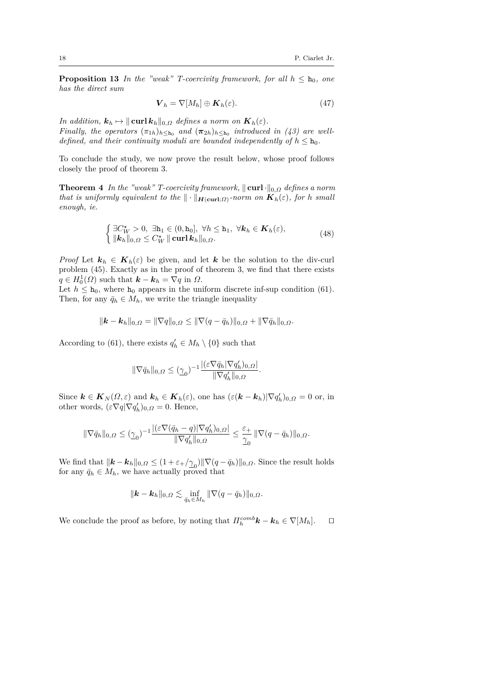**Proposition 13** *In the "weak" T-coercivity framework, for all*  $h \leq h_0$ *, one has the direct sum*

$$
\boldsymbol{V}_h = \nabla[M_h] \oplus \boldsymbol{K}_h(\varepsilon). \tag{47}
$$

*In addition,*  $\mathbf{k}_h \mapsto ||\textbf{curl } \mathbf{k}_h||_{0,\Omega}$  *defines a norm on*  $\mathbf{K}_h(\varepsilon)$ *. Finally, the operators*  $(\pi_{1h})_{h \leq h_0}$  *and*  $(\pi_{2h})_{h \leq h_0}$  *introduced in (43) are welldefined, and their continuity moduli are bounded independently of*  $h \leq h_0$ .

To conclude the study, we now prove the result below, whose proof follows closely the proof of theorem 3.

**Theorem 4** *In the "weak" T-coercivity framework,*  $\|\textbf{curl}\cdot\|_{0,\Omega}$  *defines a norm that is uniformly equivalent to the*  $\|\cdot\|_{\mathbf{H}(\mathbf{curl};\Omega)}$ -norm on  $\mathbf{K}_h(\varepsilon)$ , for *h* small *enough, ie.*

$$
\begin{cases} \exists C_W^{\star} > 0, \ \exists \mathbf{h}_1 \in (0, \mathbf{h}_0], \ \forall h \leq \mathbf{h}_1, \ \forall \mathbf{k}_h \in \mathbf{K}_h(\varepsilon), \\ \|\mathbf{k}_h\|_{0,\Omega} \leq C_W^{\star} \|\operatorname{curl} \mathbf{k}_h\|_{0,\Omega}. \end{cases} \tag{48}
$$

*Proof* Let  $\mathbf{k}_h \in \mathbf{K}_h(\varepsilon)$  be given, and let  $\mathbf{k}$  be the solution to the div-curl problem (45). Exactly as in the proof of theorem 3, we find that there exists  $q \in H_0^1(\Omega)$  such that  $\mathbf{k} - \mathbf{k}_h = \nabla q$  in  $\Omega$ .

Let  $h \leq h_0$ , where  $h_0$  appears in the uniform discrete inf-sup condition (61). Then, for any  $\bar{q}_h \in M_h$ , we write the triangle inequality

$$
\|\mathbf{k}-\mathbf{k}_h\|_{0,\Omega}=\|\nabla q\|_{0,\Omega}\leq \|\nabla (q-\bar{q}_h)\|_{0,\Omega}+\|\nabla \bar{q}_h\|_{0,\Omega}.
$$

According to (61), there exists  $q'_{h} \in M_{h} \setminus \{0\}$  such that

$$
\|\nabla \bar q_h\|_{0,\varOmega}\leq (\underline{\gamma}_0)^{-1}\frac{|(\varepsilon\nabla \bar q_h|\nabla q_h')_{0,\varOmega}|}{\|\nabla q_h'\|_{0,\varOmega}}.
$$

Since  $\mathbf{k} \in \mathbf{K}_N(\Omega, \varepsilon)$  and  $\mathbf{k}_h \in \mathbf{K}_h(\varepsilon)$ , one has  $(\varepsilon(\mathbf{k} - \mathbf{k}_h) | \nabla q_h')_{0,\Omega} = 0$  or, in other words,  $(\varepsilon \nabla q | \nabla q'_{h})_{0,\Omega} = 0$ . Hence,

$$
\|\nabla \bar{q}_h\|_{0,\varOmega}\leq (\underline{\gamma}_0)^{-1}\frac{|(\varepsilon\nabla (\bar{q}_h-q)|\nabla q_h')_{0,\varOmega}|}{\|\nabla q_h'\|_{0,\varOmega}}\leq \frac{\varepsilon_+}{\underline{\gamma}_0}\|\nabla (q-\bar{q}_h)\|_{0,\varOmega}.
$$

We find that  $\|\mathbf{k} - \mathbf{k}_h\|_{0,\Omega} \leq (1 + \varepsilon + / \underline{\gamma}_0) \|\nabla (q - \bar{q}_h)\|_{0,\Omega}$ . Since the result holds for any  $\bar{q}_h \in M_h$ , we have actually proved that

$$
\|\mathbf{k}-\mathbf{k}_h\|_{0,\Omega}\lesssim \inf_{\bar{q}_h\in M_h}\|\nabla(q-\bar{q}_h)\|_{0,\Omega}.
$$

We conclude the proof as before, by noting that  $\Pi_h^{comb}$ **k**  $-$  **k**<sub>h</sub>  $\in \nabla[M_h]$ .  $\Box$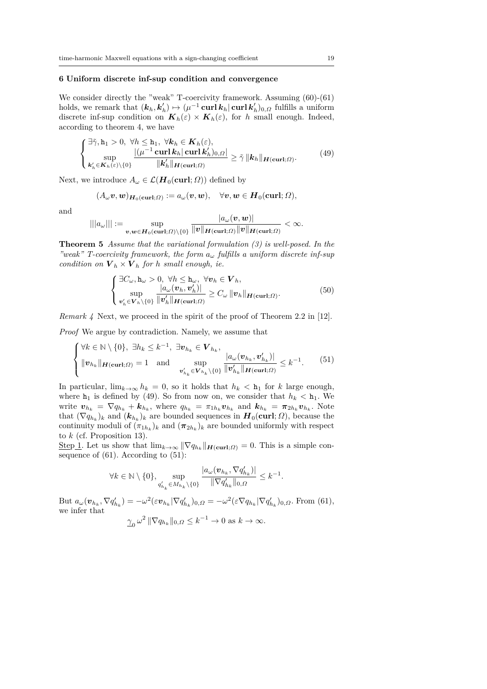#### **6 Uniform discrete inf-sup condition and convergence**

We consider directly the "weak" T-coercivity framework. Assuming  $(60)$ - $(61)$ holds, we remark that  $(k_h, k'_h) \mapsto (\mu^{-1} \operatorname{curl} k_h | \operatorname{curl} k'_h)_{0,\Omega}$  fulfills a uniform discrete inf-sup condition on  $K_h(\varepsilon) \times K_h(\varepsilon)$ , for *h* small enough. Indeed, according to theorem 4, we have

$$
\begin{cases} \n\exists \tilde{\gamma}, h_1 > 0, \ \forall h \leq h_1, \ \forall k_h \in \mathbf{K}_h(\varepsilon), \\ \n\sup_{\mathbf{k}'_h \in \mathbf{K}_h(\varepsilon) \setminus \{0\}} \frac{|(\mu^{-1} \operatorname{curl} \mathbf{k}_h | \operatorname{curl} \mathbf{k}'_h)_{0,\Omega}|}{\|\mathbf{k}'_h\|_{\mathbf{H}(\operatorname{curl};\Omega)}} \geq \tilde{\gamma} \|\mathbf{k}_h\|_{\mathbf{H}(\operatorname{curl};\Omega)}. \n\end{cases} \tag{49}
$$

Next, we introduce  $A_\omega \in \mathcal{L}(\mathbf{H}_0(\mathbf{curl}; \Omega))$  defined by

$$
(A_{\omega}\boldsymbol{v},\boldsymbol{w})_{\boldsymbol{H}_0(\boldsymbol{\operatorname{curl}};\Omega)}:=a_{\omega}(\boldsymbol{v},\boldsymbol{w}),\quad \forall \boldsymbol{v},\boldsymbol{w}\in \boldsymbol{H}_0(\boldsymbol{\operatorname{curl}};\Omega),
$$

and

$$
|||a_\omega|||:=\sup_{\boldsymbol v,\boldsymbol w\in \boldsymbol H_0(\boldsymbol{\operatorname{curl}};\varOmega)\setminus\{0\}}\frac{|a_\omega(\boldsymbol v,\boldsymbol w)|}{\|\boldsymbol v\|_{\boldsymbol H(\boldsymbol{\operatorname{curl}};\varOmega)}\|\boldsymbol v\|_{\boldsymbol H(\boldsymbol{\operatorname{curl}};\varOmega)}}<\infty.
$$

**Theorem 5** *Assume that the variational formulation (3) is well-posed. In the "weak" T-coercivity framework, the form a<sup>ω</sup> fulfills a uniform discrete inf-sup condition on*  $V_h \times V_h$  *for h small enough, ie.* 

$$
\begin{cases} \exists C_{\omega}, \mathbf{h}_{\omega} > 0, \forall h \leq \mathbf{h}_{\omega}, \forall v_h \in \mathbf{V}_h, \\ \sup_{\mathbf{v}'_h \in \mathbf{V}_h \setminus \{0\}} \frac{|a_{\omega}(\mathbf{v}_h, \mathbf{v}'_h)|}{\|\mathbf{v}'_h\|_{\mathbf{H}(\mathbf{curl};\Omega)}} \geq C_{\omega} \|\mathbf{v}_h\|_{\mathbf{H}(\mathbf{curl};\Omega)}. \end{cases} \tag{50}
$$

*Remark 4* Next, we proceed in the spirit of the proof of Theorem 2.2 in [12].

*Proof* We argue by contradiction. Namely, we assume that

$$
\begin{cases} \forall k \in \mathbb{N} \setminus \{0\}, \ \exists h_k \leq k^{-1}, \ \exists v_{h_k} \in \mathbf{V}_{h_k}, \\ \|\mathbf{v}_{h_k}\|_{\mathbf{H}(\mathbf{curl};\Omega)} = 1 \quad \text{and} \quad \sup_{\mathbf{v}'_{h_k} \in \mathbf{V}_{h_k} \setminus \{0\}} \frac{|a_{\omega}(\mathbf{v}_{h_k}, \mathbf{v}'_{h_k})|}{\|\mathbf{v}'_{h_k}\|_{\mathbf{H}(\mathbf{curl};\Omega)}} \leq k^{-1}.\end{cases} \tag{51}
$$

In particular,  $\lim_{k\to\infty} h_k = 0$ , so it holds that  $h_k < h_1$  for *k* large enough, where  $h_1$  is defined by (49). So from now on, we consider that  $h_k < h_1$ . We write  $\mathbf{v}_{h_k} = \nabla q_{h_k} + \mathbf{k}_{h_k}$ , where  $q_{h_k} = \pi_{1h_k} \mathbf{v}_{h_k}$  and  $\mathbf{k}_{h_k} = \pi_{2h_k} \mathbf{v}_{h_k}$ . Note that  $(\nabla q_{h_k})_k$  and  $(k_{h_k})_k$  are bounded sequences in  $H_0(\text{curl}; \Omega)$ , because the continuity moduli of  $(\pi_{1h_k})_k$  and  $(\pi_{2h_k})_k$  are bounded uniformly with respect to *k* (cf. Proposition 13).

Step 1. Let us show that  $\lim_{k\to\infty} \|\nabla q_{h_k}\|_{\mathbf{H}(\mathbf{curl};\Omega)} = 0$ . This is a simple consequence of  $(61)$ . According to  $(51)$ :

$$
\forall k \in \mathbb{N} \setminus \{0\}, \sup_{q_{h_k}' \in M_{h_k} \setminus \{0\}} \frac{|a_\omega(v_{h_k}, \nabla q_{h_k}')|}{\|\nabla q_{h_k}'\|_{0,\Omega}} \leq k^{-1}.
$$

But  $a_{\omega}(\boldsymbol{v}_{h_k}, \nabla q'_{h_k}) = -\omega^2 (\varepsilon \boldsymbol{v}_{h_k} | \nabla q'_{h_k})_{0,\Omega} = -\omega^2 (\varepsilon \nabla q_{h_k} | \nabla q'_{h_k})_{0,\Omega}$ . From (61), we infer that

$$
\underline{\gamma}_0 \,\omega^2 \,\|\nabla q_{h_k}\|_{0,\Omega} \le k^{-1} \to 0 \text{ as } k \to \infty.
$$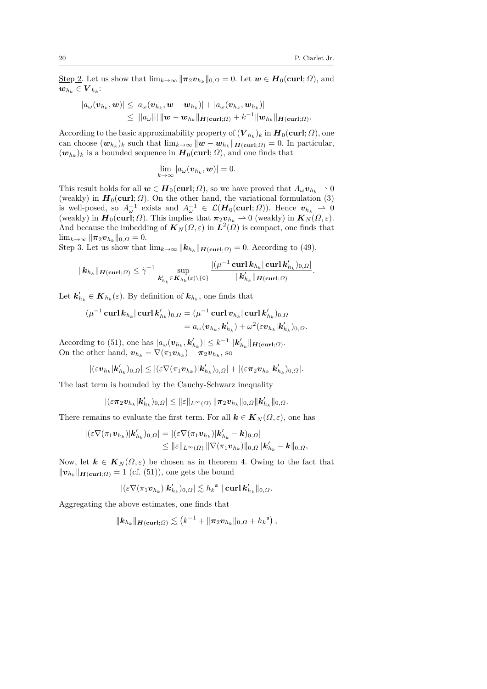$\text{Step 2.}$  Let us show that  $\lim_{k\to\infty} \|\pi_2 v_{h_k}\|_{0,\Omega} = 0$ . Let  $w \in H_0(\text{curl}; \Omega)$ , and  $\boldsymbol{w}_{h_k} \in \boldsymbol{V}_{h_k}$ :

$$
|a_{\omega}(\boldsymbol{v}_{h_k}, \boldsymbol{w})| \leq |a_{\omega}(\boldsymbol{v}_{h_k}, \boldsymbol{w} - \boldsymbol{w}_{h_k})| + |a_{\omega}(\boldsymbol{v}_{h_k}, \boldsymbol{w}_{h_k})|
$$
  

$$
\leq |||a_{\omega}|| || \|\boldsymbol{w} - \boldsymbol{w}_{h_k}||_{\boldsymbol{H}(\boldsymbol{\operatorname{curl}};\Omega)} + k^{-1} \|\boldsymbol{w}_{h_k}||_{\boldsymbol{H}(\boldsymbol{\operatorname{curl}};\Omega)}.
$$

According to the basic approximability property of  $(V_{h_k})_k$  in  $H_0(\text{curl};\Omega)$ , one can choose  $(w_{h_k})_k$  such that  $\lim_{k\to\infty} ||w - w_{h_k}||_{H(\text{curl};\Omega)} = 0$ . In particular,  $(w_{h_k})_k$  is a bounded sequence in  $H_0(\text{curl}; \Omega)$ , and one finds that

$$
\lim_{k\to\infty}|a_\omega(\boldsymbol{v}_{h_k},\boldsymbol{w})|=0.
$$

This result holds for all  $w \in H_0(\text{curl}; \Omega)$ , so we have proved that  $A_\omega v_{h_k} \to 0$ (weakly) in  $H_0(\text{curl}; \Omega)$ . On the other hand, the variational formulation (3) is well-posed, so  $A_{\omega}^{-1}$  exists and  $A_{\omega}^{-1} \in \mathcal{L}(\mathbf{H}_0(\text{curl}; \Omega))$ . Hence  $\mathbf{v}_{h_k} \to 0$ (weakly) in  $\mathbf{H}_0(\text{curl}; \Omega)$ . This implies that  $\pi_2 \mathbf{v}_{h_k} \to 0$  (weakly) in  $\mathbf{K}_N(\Omega, \varepsilon)$ . And because the imbedding of  $K_N(\Omega, \varepsilon)$  in  $L^2(\Omega)$  is compact, one finds that  $\lim_{k\to\infty}$   $\|\pi_2 v_{h_k}\|_{0,\Omega} = 0.$ 

Step 3. Let us show that  $\lim_{k\to\infty} ||\mathbf{k}_{h_k}||_{\mathbf{H}(\mathbf{curl};\Omega)} = 0$ . According to (49),

$$
\|\mathbf{k}_{h_k}\|_{\mathbf{H}(\mathbf{curl};\Omega)} \leq \tilde{\gamma}^{-1} \sup_{\mathbf{k}_{h_k}' \in \mathbf{K}_{h_k}(\varepsilon) \setminus \{0\}} \frac{|(\mu^{-1} \mathbf{curl} \mathbf{k}_{h_k} | \mathbf{curl} \mathbf{k}_{h_k}')_{0,\Omega}|}{\|\mathbf{k}_{h_k}' \|_{\mathbf{H}(\mathbf{curl};\Omega)}}.
$$

Let  $\mathbf{k}'_{h_k} \in \mathbf{K}_{h_k}(\varepsilon)$ . By definition of  $\mathbf{k}_{h_k}$ , one finds that

$$
(\mu^{-1}\operatorname{curl} \bm{k}_{h_k}|\operatorname{curl} \bm{k}'_{h_k})_{0,\Omega} = (\mu^{-1}\operatorname{curl} \bm{v}_{h_k}|\operatorname{curl} \bm{k}'_{h_k})_{0,\Omega} = a_{\omega}(\bm{v}_{h_k}, \bm{k}'_{h_k}) + \omega^2(\varepsilon \bm{v}_{h_k}|\bm{k}'_{h_k})_{0,\Omega}.
$$

According to (51), one has  $|a_{\omega}(\boldsymbol{v}_{h_k}, \boldsymbol{k}_{h_k}')| \leq k^{-1} ||\boldsymbol{k}_{h_k}'||_{\boldsymbol{H}(\boldsymbol{\text{curl}};\Omega)}$ . On the other hand,  $\boldsymbol{v}_{h_k} = \nabla(\pi_1 \boldsymbol{v}_{h_k}) + \pi_2 \boldsymbol{v}_{h_k}$ , so

$$
|(\varepsilon {\bm v}_{h_k}|{\bm k}'_{h_k})_{0,{\varOmega}}|\leq |(\varepsilon \nabla (\pi_1{\bm v}_{h_k})|{\bm k}'_{h_k})_{0,{\varOmega}}|+|(\varepsilon \boldsymbol \pi_2{\bm v}_{h_k}|{\bm k}'_{h_k})_{0,{\varOmega}}|.
$$

The last term is bounded by the Cauchy-Schwarz inequality

$$
|(\varepsilon\pi_2\bm{v}_{h_k}|\bm{k}_{h_k}')_{0,\varOmega}|\leq \|\varepsilon\|_{L^\infty(\varOmega)}\, \|\bm{\pi}_2\bm{v}_{h_k}\|_{0,\varOmega}\|\bm{k}_{h_k}'\|_{0,\varOmega}.
$$

There remains to evaluate the first term. For all  $\mathbf{k} \in \mathbf{K}_N(\Omega,\varepsilon)$ , one has

$$
|(\varepsilon \nabla (\pi_1 \mathbf{v}_{h_k})|\mathbf{k}_{h_k}')_{0,\Omega}| = |(\varepsilon \nabla (\pi_1 \mathbf{v}_{h_k})|\mathbf{k}_{h_k}' - \mathbf{k})_{0,\Omega}|
$$
  

$$
\leq ||\varepsilon||_{L^{\infty}(\Omega)} ||\nabla (\pi_1 \mathbf{v}_{h_k})||_{0,\Omega} ||\mathbf{k}_{h_k}' - \mathbf{k}||_{0,\Omega},
$$

Now, let  $\mathbf{k} \in \mathbf{K}_N(\Omega,\varepsilon)$  be chosen as in theorem 4. Owing to the fact that  $||\mathbf{v}_{h_k}||_{\mathbf{H}(\mathbf{curl};\Omega)} = 1$  (cf. (51)), one gets the bound

$$
|(\varepsilon\nabla(\pi_1\boldsymbol{v}_{h_k})|\boldsymbol{k}_{h_k}')_{0,\Omega}|\lesssim h_k^{\,\mathrm{s}}\,\|\operatorname{\mathbf{curl}}\boldsymbol{k}_{h_k}'\|_{0,\Omega}.
$$

Aggregating the above estimates, one finds that

$$
\|\mathbf{k}_{h_k}\|_{\mathbf{H}(\mathbf{curl};\Omega)} \lesssim \left(k^{-1} + \|\boldsymbol{\pi}_2\boldsymbol{v}_{h_k}\|_{0,\Omega} + h_k^{\mathbf{s}}\right),
$$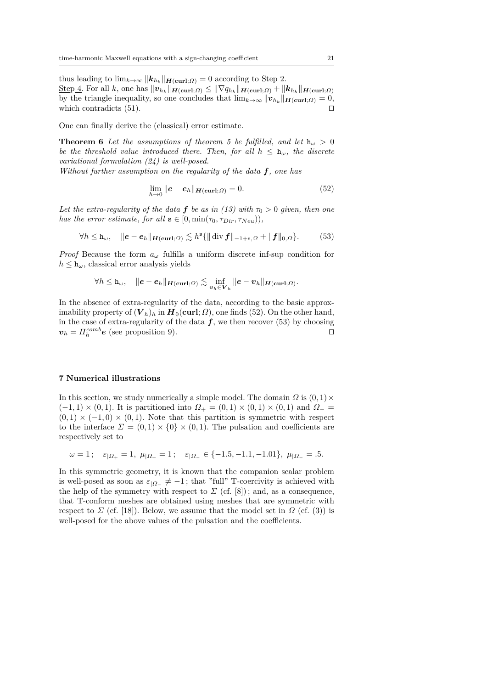thus leading to  $\lim_{k\to\infty} ||\mathbf{k}_{h_k}||_{\mathbf{H}(\mathbf{curl};\Omega)} = 0$  according to Step 2.  $\frac{\text{Step 4. For all } k, \text{ one has } ||\boldsymbol{v}_{h_k}||_{\boldsymbol{H}(\mathbf{curl};\Omega)} \leq ||\nabla q_{h_k}||_{\boldsymbol{H}(\mathbf{curl};\Omega)} + ||\boldsymbol{k}_{h_k}||_{\boldsymbol{H}(\mathbf{curl};\Omega)}$ by the triangle inequality, so one concludes that  $\lim_{k\to\infty} ||\mathbf{v}_{h_k}||_{\mathbf{H}(\mathbf{curl};\Omega)} = 0$ , which contradicts  $(51)$ .

One can finally derive the (classical) error estimate.

**Theorem 6** Let the assumptions of theorem 5 be fulfilled, and let  $h_{\omega} > 0$ *be the threshold value introduced there. Then, for all*  $h \leq h_{\omega}$ *, the discrete variational formulation (24) is well-posed.*

*Without further assumption on the regularity of the data f, one has*

$$
\lim_{h \to 0} ||\mathbf{e} - \mathbf{e}_h||_{\mathbf{H}(\mathbf{curl}; \Omega)} = 0.
$$
\n(52)

*Let the extra-regularity of the data f <i>be as in (13) with*  $\tau_0 > 0$  *given, then one has the error estimate, for all*  $s \in [0, min(\tau_0, \tau_{Dir}, \tau_{Neu}))$ ,

$$
\forall h \leq \mathbf{h}_{\omega}, \quad \|\mathbf{e} - \mathbf{e}_h\|_{\mathbf{H}(\mathbf{curl};\Omega)} \lesssim h^s \{\|\operatorname{div} \mathbf{f}\|_{-1+s,\Omega} + \|\mathbf{f}\|_{0,\Omega}\}.
$$
 (53)

*Proof* Because the form  $a_\omega$  fulfills a uniform discrete inf-sup condition for  $h \leq h_{\omega}$ , classical error analysis yields

$$
\forall h \leq \mathtt{h}_{\omega}, \quad \|e - e_h\|_{\boldsymbol H(\boldsymbol{\operatorname{curl}};\varOmega)} \lesssim \inf_{\boldsymbol v_h \in \boldsymbol V_h} \|e - \boldsymbol v_h\|_{\boldsymbol H(\boldsymbol{\operatorname{curl}};\varOmega)}.
$$

In the absence of extra-regularity of the data, according to the basic approximability property of  $(V_h)_h$  in  $H_0(\text{curl}; \Omega)$ , one finds (52). On the other hand, in the case of extra-regularity of the data  $f$ , we then recover (53) by choosing  $v_h = \prod_h^{comb} e$  (see proposition 9).

#### **7 Numerical illustrations**

In this section, we study numerically a simple model. The domain  $\Omega$  is  $(0,1) \times$  $(-1, 1) \times (0, 1)$ . It is partitioned into  $\Omega_+ = (0, 1) \times (0, 1) \times (0, 1)$  and  $\Omega_- =$  $(0,1) \times (-1,0) \times (0,1)$ . Note that this partition is symmetric with respect to the interface  $\Sigma = (0,1) \times \{0\} \times (0,1)$ . The pulsation and coefficients are respectively set to

$$
\omega = 1;
$$
  $\varepsilon_{\vert \Omega_+} = 1$ ,  $\mu_{\vert \Omega_+} = 1;$   $\varepsilon_{\vert \Omega_-} \in \{-1.5, -1.1, -1.01\}$ ,  $\mu_{\vert \Omega_-} = .5.$ 

In this symmetric geometry, it is known that the companion scalar problem is well-posed as soon as  $\varepsilon_{\vert \Omega_-} \neq -1$ ; that "full" T-coercivity is achieved with the help of the symmetry with respect to  $\Sigma$  (cf. [8]); and, as a consequence, that T-conform meshes are obtained using meshes that are symmetric with respect to  $\Sigma$  (cf. [18]). Below, we assume that the model set in  $\Omega$  (cf. (3)) is well-posed for the above values of the pulsation and the coefficients.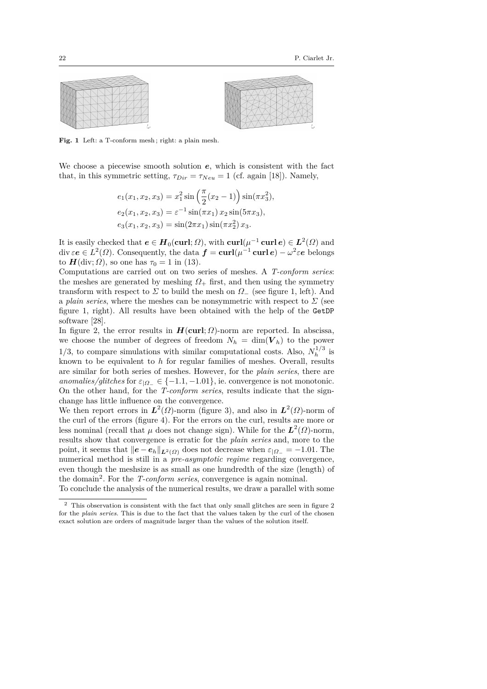



Fig. 1 Left: a T-conform mesh; right: a plain mesh.

We choose a piecewise smooth solution *e*, which is consistent with the fact that, in this symmetric setting,  $\tau_{Dir} = \tau_{Neu} = 1$  (cf. again [18]). Namely,

$$
e_1(x_1, x_2, x_3) = x_1^2 \sin\left(\frac{\pi}{2}(x_2 - 1)\right) \sin(\pi x_3^2),
$$
  
\n
$$
e_2(x_1, x_2, x_3) = \varepsilon^{-1} \sin(\pi x_1) x_2 \sin(5\pi x_3),
$$
  
\n
$$
e_3(x_1, x_2, x_3) = \sin(2\pi x_1) \sin(\pi x_2^2) x_3.
$$

It is easily checked that  $e \in H_0(\text{curl}; \Omega)$ , with  $\text{curl}(\mu^{-1} \text{curl } e) \in L^2(\Omega)$  and div  $\varepsilon e \in L^2(\Omega)$ . Consequently, the data  $f = \text{curl}(\mu^{-1} \text{ curl } e) - \omega^2 \varepsilon e$  belongs to  $H(\text{div}; \Omega)$ , so one has  $\tau_0 = 1$  in (13).

Computations are carried out on two series of meshes. A *T-conform series*: the meshes are generated by meshing  $\Omega_+$  first, and then using the symmetry transform with respect to  $\Sigma$  to build the mesh on  $\Omega$ <sub>−</sub> (see figure 1, left). And a *plain series*, where the meshes can be nonsymmetric with respect to  $\Sigma$  (see figure 1, right). All results have been obtained with the help of the GetDP software [28].

In figure 2, the error results in  $H(\text{curl}; \Omega)$ -norm are reported. In abscissa, we choose the number of degrees of freedom  $N_h = \dim(V_h)$  to the power 1/3, to compare simulations with similar computational costs. Also,  $N_h^{1/3}$  $\frac{1}{h}$ <sup>1</sup> is known to be equivalent to *h* for regular families of meshes. Overall, results are similar for both series of meshes. However, for the *plain series*, there are *anomalies/glitches* for  $\varepsilon_{\vert \Omega_-} \in \{-1.1, -1.01\}$ , ie. convergence is not monotonic. On the other hand, for the *T-conform series*, results indicate that the signchange has little influence on the convergence.

We then report errors in  $L^2(\Omega)$ -norm (figure 3), and also in  $L^2(\Omega)$ -norm of the curl of the errors (figure 4). For the errors on the curl, results are more or less nominal (recall that  $\mu$  does not change sign). While for the  $L^2(\Omega)$ -norm, results show that convergence is erratic for the *plain series* and, more to the point, it seems that  $\|e - e_h\|_{L^2(\Omega)}$  does not decrease when  $\varepsilon_{\Omega} = -1.01$ . The numerical method is still in a *pre-asymptotic regime* regarding convergence, even though the meshsize is as small as one hundredth of the size (length) of the domain<sup>2</sup>. For the *T-conform series*, convergence is again nominal.

To conclude the analysis of the numerical results, we draw a parallel with some

 $^{\rm 2}$  This observation is consistent with the fact that only small glitches are seen in figure  $2$ for the *plain series*. This is due to the fact that the values taken by the curl of the chosen exact solution are orders of magnitude larger than the values of the solution itself.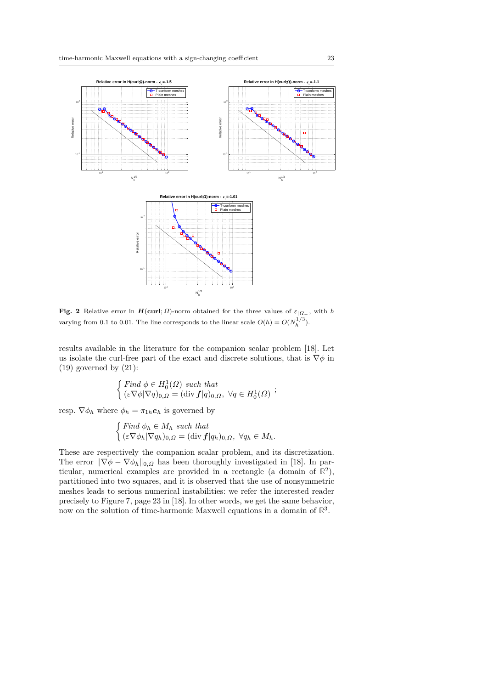

Fig. 2 Relative error in  $H(\text{curl}; \Omega)$ -norm obtained for the three values of  $\varepsilon_{|\Omega_-}$ , with *h* varying from 0.1 to 0.01. The line corresponds to the linear scale  $O(h) = O(N_h^{1/3})$ .

results available in the literature for the companion scalar problem [18]. Let us isolate the curl-free part of the exact and discrete solutions, that is  $\nabla \phi$  in  $(19)$  governed by  $(21)$ :

$$
\begin{cases} \text{Find } \phi \in H_0^1(\Omega) \text{ such that} \\ (\varepsilon \nabla \phi | \nabla q)_{0,\Omega} = (\text{div } f | q)_{0,\Omega}, \ \forall q \in H_0^1(\Omega) \end{cases};
$$

resp.  $\nabla \phi_h$  where  $\phi_h = \pi_{1h} \mathbf{e}_h$  is governed by

$$
\begin{cases} \text{Find } \phi_h \in M_h \text{ such that} \\ (\varepsilon \nabla \phi_h | \nabla q_h)_{0,\Omega} = (\text{div } \mathbf{f} | q_h)_{0,\Omega}, \ \forall q_h \in M_h. \end{cases}
$$

These are respectively the companion scalar problem, and its discretization. The error  $\|\nabla \phi - \nabla \phi_h\|_{0,\Omega}$  has been thoroughly investigated in [18]. In particular, numerical examples are provided in a rectangle (a domain of  $\mathbb{R}^2$ ), partitioned into two squares, and it is observed that the use of nonsymmetric meshes leads to serious numerical instabilities: we refer the interested reader precisely to Figure 7, page 23 in [18]. In other words, we get the same behavior, now on the solution of time-harmonic Maxwell equations in a domain of **R** 3 .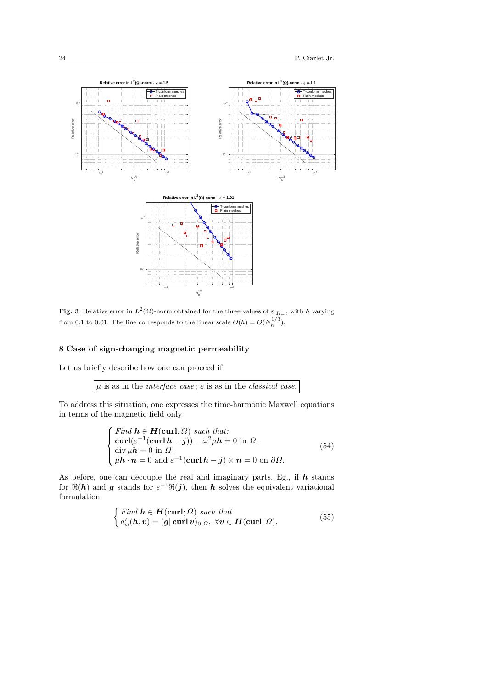

**Fig. 3** Relative error in  $L^2(\Omega)$ -norm obtained for the three values of  $\varepsilon_{|\Omega_-}$ , with *h* varying from 0.1 to 0.01. The line corresponds to the linear scale  $O(h) = O(N_h^{1/3})$ .

#### **8 Case of sign-changing magnetic permeability**

Let us briefly describe how one can proceed if

*µ* is as in the *interface case* ; *ε* is as in the *classical case*.

To address this situation, one expresses the time-harmonic Maxwell equations in terms of the magnetic field only

$$
\begin{cases}\n\text{Find } \mathbf{h} \in \mathbf{H}(\mathbf{curl}, \Omega) \text{ such that:} \\
\text{curl}(\varepsilon^{-1}(\mathbf{curl} \mathbf{h} - \mathbf{j})) - \omega^2 \mu \mathbf{h} = 0 \text{ in } \Omega, \\
\text{div } \mu \mathbf{h} = 0 \text{ in } \Omega; \\
\mu \mathbf{h} \cdot \mathbf{n} = 0 \text{ and } \varepsilon^{-1}(\mathbf{curl} \mathbf{h} - \mathbf{j}) \times \mathbf{n} = 0 \text{ on } \partial \Omega.\n\end{cases} (54)
$$

As before, one can decouple the real and imaginary parts. Eg., if *h* stands for  $\Re(h)$  and *g* stands for  $\varepsilon^{-1}\Re(j)$ , then *h* solves the equivalent variational formulation

$$
\begin{cases}\n\text{Find } \mathbf{h} \in \mathbf{H}(\mathbf{curl}; \Omega) \text{ such that} \\
a'_{\omega}(\mathbf{h}, \mathbf{v}) = (\mathbf{g} | \mathbf{curl} \mathbf{v})_{0, \Omega}, \forall \mathbf{v} \in \mathbf{H}(\mathbf{curl}; \Omega),\n\end{cases} (55)
$$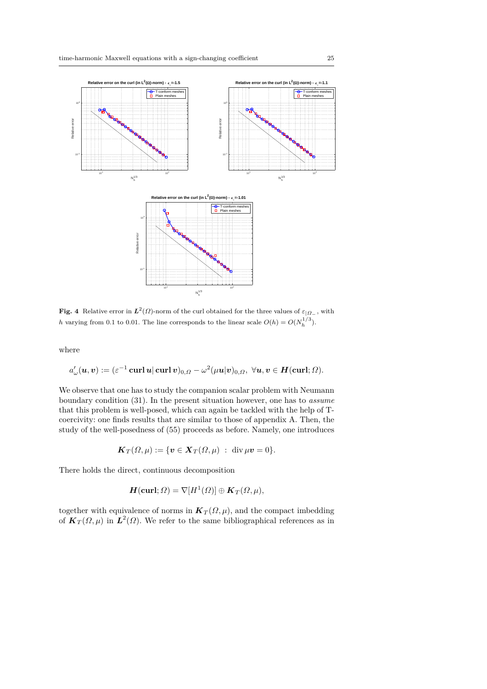

Fig. 4 Relative error in  $L^2(\Omega)$ -norm of the curl obtained for the three values of  $\varepsilon_{|\Omega_-}$ , with *h* varying from 0.1 to 0.01. The line corresponds to the linear scale  $O(h) = O(N_h^{1/3})$ .

where

$$
a_\omega'(\boldsymbol u,\boldsymbol v):=(\varepsilon^{-1}\operatorname{\bf curl}\boldsymbol u|\operatorname{\bf curl}\boldsymbol v)_{0,\varOmega}-\omega^2(\mu\boldsymbol u|\boldsymbol v)_{0,\varOmega},\,\,\forall \boldsymbol u,\boldsymbol v\in \boldsymbol H(\operatorname{\bf curl};\varOmega).
$$

We observe that one has to study the companion scalar problem with Neumann boundary condition (31). In the present situation however, one has to *assume* that this problem is well-posed, which can again be tackled with the help of Tcoercivity: one finds results that are similar to those of appendix A. Then, the study of the well-posedness of (55) proceeds as before. Namely, one introduces

$$
\boldsymbol{K}_T(\Omega,\mu):=\{\boldsymbol{v}\in \boldsymbol{X}_T(\Omega,\mu)\;:\; \operatorname{div}\mu\boldsymbol{v}=0\}.
$$

There holds the direct, continuous decomposition

$$
\mathbf{H}(\mathbf{curl};\Omega)=\nabla[H^1(\Omega)]\oplus\mathbf{K}_T(\Omega,\mu),
$$

together with equivalence of norms in  $K_T(\Omega, \mu)$ , and the compact imbedding of  $K_T(\Omega,\mu)$  in  $L^2(\Omega)$ . We refer to the same bibliographical references as in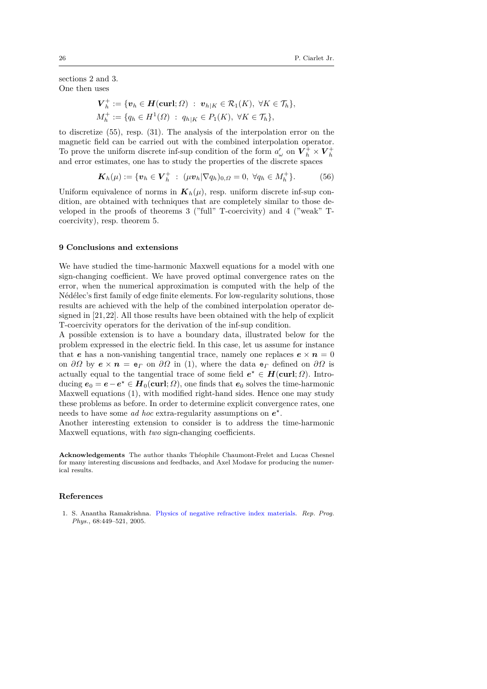sections 2 and 3. One then uses

$$
\begin{aligned} \mathbf{V}_h^+ &:= \{ \mathbf{v}_h \in \mathbf{H}(\mathbf{curl}; \Omega) \; : \; \mathbf{v}_{h|K} \in \mathcal{R}_1(K), \; \forall K \in \mathcal{T}_h \}, \\ M_h^+ &:= \{ q_h \in H^1(\Omega) \; : \; q_{h|K} \in P_1(K), \; \forall K \in \mathcal{T}_h \}, \end{aligned}
$$

to discretize (55), resp. (31). The analysis of the interpolation error on the magnetic field can be carried out with the combined interpolation operator. To prove the uniform discrete inf-sup condition of the form  $a'_\omega$  on  $V_h^+ \times V_h^+$ and error estimates, one has to study the properties of the discrete spaces

$$
\boldsymbol{K}_h(\mu) := \{ \boldsymbol{v}_h \in \boldsymbol{V}_h^+ \; : \; (\mu \boldsymbol{v}_h | \nabla q_h)_{0,\Omega} = 0, \; \forall q_h \in M_h^+ \}. \tag{56}
$$

Uniform equivalence of norms in  $K_h(\mu)$ , resp. uniform discrete inf-sup condition, are obtained with techniques that are completely similar to those developed in the proofs of theorems 3 ("full" T-coercivity) and 4 ("weak" Tcoercivity), resp. theorem 5.

#### **9 Conclusions and extensions**

We have studied the time-harmonic Maxwell equations for a model with one sign-changing coefficient. We have proved optimal convergence rates on the error, when the numerical approximation is computed with the help of the Nédélec's first family of edge finite elements. For low-regularity solutions, those results are achieved with the help of the combined interpolation operator designed in [21, 22]. All those results have been obtained with the help of explicit T-coercivity operators for the derivation of the inf-sup condition.

A possible extension is to have a boundary data, illustrated below for the problem expressed in the electric field. In this case, let us assume for instance that *e* has a non-vanishing tangential trace, namely one replaces  $e \times n = 0$ on  $\partial\Omega$  by  $e \times n = e$ <sub>*Γ*</sub> on  $\partial\Omega$  in (1), where the data  $e$ <sub>*Γ*</sub> defined on  $\partial\Omega$  is actually equal to the tangential trace of some field  $e^* \in H(\text{curl}; \Omega)$ . Introducing  $e_0 = e - e^* \in H_0(\text{curl}; \Omega)$ , one finds that  $e_0$  solves the time-harmonic Maxwell equations (1), with modified right-hand sides. Hence one may study these problems as before. In order to determine explicit convergence rates, one needs to have some *ad hoc* extra-regularity assumptions on  $e^*$ .

Another interesting extension to consider is to address the time-harmonic Maxwell equations, with *two* sign-changing coefficients.

**Acknowledgements** The author thanks Théophile Chaumont-Frelet and Lucas Chesnel for many interesting discussions and feedbacks, and Axel Modave for producing the numerical results.

#### **References**

1. S. Anantha Ramakrishna. Physics of negative refractive index materials. *Rep. Prog. Phys.*, 68:449–521, 2005.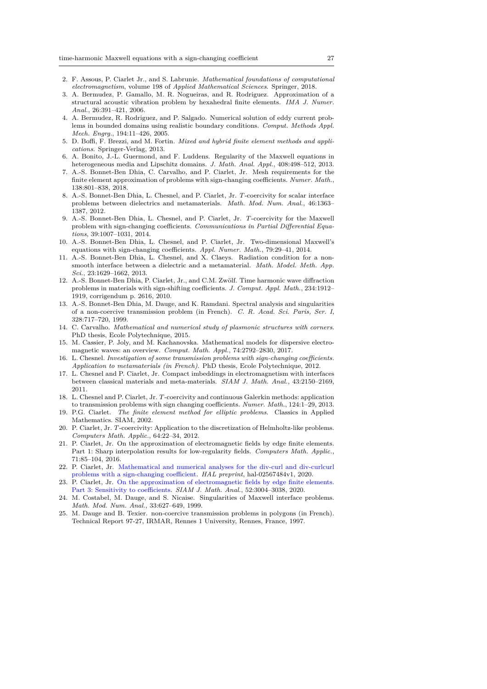- 2. F. Assous, P. Ciarlet Jr., and S. Labrunie. *Mathematical foundations of computational electromagnetism*, volume 198 of *Applied Mathematical Sciences*. Springer, 2018.
- 3. A. Bermudez, P. Gamallo, M. R. Nogueiras, and R. Rodriguez. Approximation of a structural acoustic vibration problem by hexahedral finite elements. *IMA J. Numer. Anal.*, 26:391–421, 2006.
- 4. A. Bermudez, R. Rodriguez, and P. Salgado. Numerical solution of eddy current problems in bounded domains using realistic boundary conditions. *Comput. Methods Appl. Mech. Engrg.*, 194:11–426, 2005.
- 5. D. Boffi, F. Brezzi, and M. Fortin. *Mixed and hybrid finite element methods and applications*. Springer-Verlag, 2013.
- 6. A. Bonito, J.-L. Guermond, and F. Luddens. Regularity of the Maxwell equations in heterogeneous media and Lipschitz domains. *J. Math. Anal. Appl.*, 408:498–512, 2013.
- 7. A.-S. Bonnet-Ben Dhia, C. Carvalho, and P. Ciarlet, Jr. Mesh requirements for the finite element approximation of problems with sign-changing coefficients. *Numer. Math.*, 138:801–838, 2018.
- 8. A.-S. Bonnet-Ben Dhia, L. Chesnel, and P. Ciarlet, Jr. *T*-coercivity for scalar interface problems between dielectrics and metamaterials. *Math. Mod. Num. Anal.*, 46:1363– 1387, 2012.
- 9. A.-S. Bonnet-Ben Dhia, L. Chesnel, and P. Ciarlet, Jr. *T*-coercivity for the Maxwell problem with sign-changing coefficients. *Communications in Partial Differential Equations*, 39:1007–1031, 2014.
- 10. A.-S. Bonnet-Ben Dhia, L. Chesnel, and P. Ciarlet, Jr. Two-dimensional Maxwell's equations with sign-changing coefficients. *Appl. Numer. Math.*, 79:29–41, 2014.
- 11. A.-S. Bonnet-Ben Dhia, L. Chesnel, and X. Claeys. Radiation condition for a nonsmooth interface between a dielectric and a metamaterial. *Math. Model. Meth. App. Sci.*, 23:1629–1662, 2013.
- 12. A.-S. Bonnet-Ben Dhia, P. Ciarlet, Jr., and C.M. Zwölf. Time harmonic wave diffraction problems in materials with sign-shifting coefficients. *J. Comput. Appl. Math.*, 234:1912– 1919, corrigendum p. 2616, 2010.
- 13. A.-S. Bonnet-Ben Dhia, M. Dauge, and K. Ramdani. Spectral analysis and singularities of a non-coercive transmission problem (in French). *C. R. Acad. Sci. Paris, Ser. I*, 328:717–720, 1999.
- 14. C. Carvalho. *Mathematical and numerical study of plasmonic structures with corners*. PhD thesis, Ecole Polytechnique, 2015.
- 15. M. Cassier, P. Joly, and M. Kachanovska. Mathematical models for dispersive electromagnetic waves: an overview. *Comput. Math. Appl.*, 74:2792–2830, 2017.
- 16. L. Chesnel. *Investigation of some transmission problems with sign-changing coefficients. Application to metamaterials (in French)*. PhD thesis, Ecole Polytechnique, 2012.
- 17. L. Chesnel and P. Ciarlet, Jr. Compact imbeddings in electromagnetism with interfaces between classical materials and meta-materials. *SIAM J. Math. Anal.*, 43:2150–2169, 2011.
- 18. L. Chesnel and P. Ciarlet, Jr. *T*-coercivity and continuous Galerkin methods: application to transmission problems with sign changing coefficients. *Numer. Math.*, 124:1–29, 2013.
- 19. P.G. Ciarlet. *The finite element method for elliptic problems*. Classics in Applied Mathematics. SIAM, 2002.
- 20. P. Ciarlet, Jr. *T*-coercivity: Application to the discretization of Helmholtz-like problems. *Computers Math. Applic.*, 64:22–34, 2012.
- 21. P. Ciarlet, Jr. On the approximation of electromagnetic fields by edge finite elements. Part 1: Sharp interpolation results for low-regularity fields. *Computers Math. Applic.*, 71:85–104, 2016.
- 22. P. Ciarlet, Jr. Mathematical and numerical analyses for the div-curl and div-curlcurl problems with a sign-changing coefficient. *HAL preprint*, hal-02567484v1, 2020.
- 23. P. Ciarlet, Jr. On the approximation of electromagnetic fields by edge finite elements. Part 3: Sensitivity to coefficients. *SIAM J. Math. Anal.*, 52:3004–3038, 2020.
- 24. M. Costabel, M. Dauge, and S. Nicaise. Singularities of Maxwell interface problems. *Math. Mod. Num. Anal.*, 33:627–649, 1999.
- 25. M. Dauge and B. Texier. non-coercive transmission problems in polygons (in French). Technical Report 97-27, IRMAR, Rennes 1 University, Rennes, France, 1997.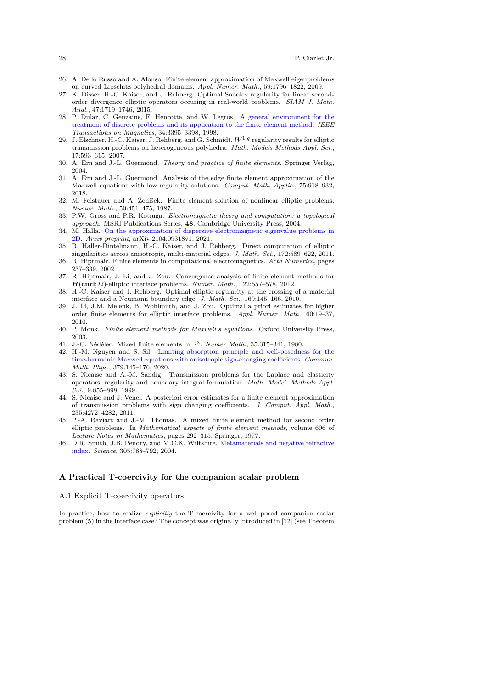- 26. A. Dello Russo and A. Alonso. Finite element approximation of Maxwell eigenproblems on curved Lipschitz polyhedral domains. *Appl. Numer. Math.*, 59:1796–1822, 2009.
- 27. K. Disser, H.-C. Kaiser, and J. Rehberg. Optimal Sobolev regularity for linear secondorder divergence elliptic operators occuring in real-world problems. *SIAM J. Math. Anal.*, 47:1719–1746, 2015.
- 28. P. Dular, C. Geuzaine, F. Henrotte, and W. Legros. A general environment for the treatment of discrete problems and its application to the finite element method. *IEEE Transactions on Magnetics*, 34:3395–3398, 1998.
- 29. J. Elschner, H.-C. Kaiser, J. Rehberg, and G. Schmidt. *W*1*,q* regularity results for elliptic transmission problems on heterogeneous polyhedra. *Math. Models Methods Appl. Sci.*, 17:593–615, 2007.
- 30. A. Ern and J.-L. Guermond. *Theory and practice of finite elements*. Springer Verlag, 2004.
- 31. A. Ern and J.-L. Guermond. Analysis of the edge finite element approximation of the Maxwell equations with low regularity solutions. *Comput. Math. Applic.*, 75:918–932, 2018.
- 32. M. Feistauer and A. Zenišek. Finite element solution of nonlinear elliptic problems. *Numer. Math.*, 50:451–475, 1987.
- 33. P.W. Gross and P.R. Kotiuga. *Electromagnetic theory and computation: a topological approach*. MSRI Publications Series, **48**. Cambridge University Press, 2004.
- 34. M. Halla. On the approximation of dispersive electromagnetic eigenvalue problems in 2D. *Arxiv preprint*, arXiv:2104.09318v1, 2021.
- 35. R. Haller-Dintelmann, H.-C. Kaiser, and J. Rehberg. Direct computation of elliptic singularities across anisotropic, multi-material edges. *J. Math. Sci.*, 172:589–622, 2011.
- 36. R. Hiptmair. Finite elements in computational electromagnetics. *Acta Numerica*, pages 237–339, 2002.
- 37. R. Hiptmair, J. Li, and J. Zou. Convergence analysis of finite element methods for *H*(**curl**; *Ω*)-elliptic interface problems. *Numer. Math.*, 122:557–578, 2012.
- 38. H.-C. Kaiser and J. Rehberg. Optimal elliptic regularity at the crossing of a material interface and a Neumann boundary edge. *J. Math. Sci.*, 169:145–166, 2010.
- 39. J. Li, J.M. Melenk, B. Wohlmuth, and J. Zou. Optimal a priori estimates for higher order finite elements for elliptic interface problems. *Appl. Numer. Math.*, 60:19–37, 2010.
- 40. P. Monk. *Finite element methods for Maxwell's equations*. Oxford University Press, 2003.
- 41. J.-C. Nédélec. Mixed finite elements in  $\mathbb{R}^3$ . *Numer Math.*, 35:315-341, 1980.
- 42. H.-M. Nguyen and S. Sil. Limiting absorption principle and well-posedness for the time-harmonic Maxwell equations with anisotropic sign-changing coefficients. *Commun. Math. Phys.*, 379:145–176, 2020.
- 43. S. Nicaise and A.-M. Sändig. Transmission problems for the Laplace and elasticity operators: regularity and boundary integral formulation. *Math. Model. Methods Appl. Sci.*, 9:855–898, 1999.
- 44. S. Nicaise and J. Venel. A posteriori error estimates for a finite element approximation of transmission problems with sign changing coefficients. *J. Comput. Appl. Math.*, 235:4272–4282, 2011.
- 45. P.-A. Raviart and J.-M. Thomas. A mixed finite element method for second order elliptic problems. In *Mathematical aspects of finite element methods*, volume 606 of *Lecture Notes in Mathematics*, pages 292–315. Springer, 1977.
- 46. D.R. Smith, J.B. Pendry, and M.C.K. Wiltshire. Metamaterials and negative refractive index. *Science*, 305:788–792, 2004.

#### **A Practical T-coercivity for the companion scalar problem**

#### A.1 Explicit T-coercivity operators

In practice, how to realize *explicitly* the T-coercivity for a well-posed companion scalar problem (5) in the interface case? The concept was originally introduced in [12] (see Theorem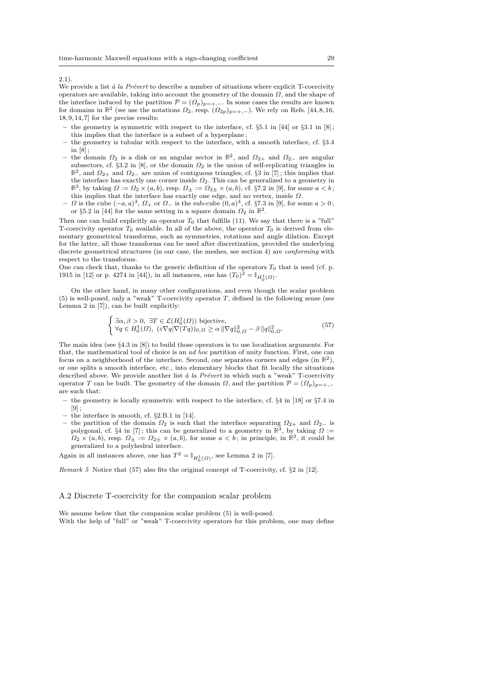2.1).

We provide a list *à la Prévert* to describe a number of situations where explicit T-coercivity operators are available, taking into account the geometry of the domain *Ω*, and the shape of the interface induced by the partition  $\mathcal{P} = (\Omega_p)_{p=+,-}$ . In some cases the results are known for domains in  $\mathbb{R}^2$  (we use the notations  $\Omega_2$ , resp.  $(\Omega_{2p})_{p=+,-}$ ). We rely on Refs. [44,8,16,  $18,9,14,7]\rm$  for the precise results:

- **–** the geometry is symmetric with respect to the interface, cf. §5.1 in [44] or §3.1 in [8] ; this implies that the interface is a subset of a hyperplane ;
- **–** the geometry is tubular with respect to the interface, with a smooth interface, cf. §3.4 in  $[8]$
- $-$  the domain  $Ω_2$  is a disk or an angular sector in  $\mathbb{R}^2$ , and  $Ω_{2+}$  and  $Ω_{2-}$  are angular subsectors, cf. §3.2 in [8], or the domain *Ω*<sup>2</sup> is the union of self-replicating triangles in  $\mathbb{R}^2$ , and  $\Omega_{2+}$  and  $\Omega_{2-}$  are union of contiguous triangles, cf. §3 in [7]; this implies that the interface has exactly one corner inside *Ω*2. This can be generalized to a geometry in  $\mathbb{R}^3$ , by taking  $\Omega := \Omega_2 \times (a, b)$ , resp.  $\Omega_{\pm} := \Omega_{2\pm} \times (a, b)$ , cf. §7.2 in [9], for some  $a < b$ ; this implies that the interface has exactly one edge, and no vertex, inside *Ω*.
- **–** *Ω* is the cube (−*a, a*) 3 , *Ω*<sup>+</sup> or *Ω*<sup>−</sup> is the sub-cube (0*, a*) 3 , cf. §7.3 in [9], for some *a >* 0 ; or §5.2 in [44] for the same setting in a square domain  $\Omega_2$  in  $\mathbb{R}^2$ .

Then one can build explicitly an operator  $T_0$  that fulfills (11). We say that there is a "full" T-coercivity operator  $T_0$  available. In all of the above, the operator  $T_0$  is derived from elementary geometrical transforms, such as symmetries, rotations and angle dilation. Except for the latter, all those transforms can be used after discretization, provided the underlying discrete geometrical structures (in our case, the meshes, see section 4) are *conforming* with respect to the transforms.

One can check that, thanks to the generic definition of the operators  $T_0$  that is used (cf. p. 1915 in [12] or p. 4274 in [44]), in all instances, one has  $(T_0)^2 = \mathbb{I}_{H_0^1(\Omega)}$ .

On the other hand, in many other configurations, and even though the scalar problem (5) is well-posed, only a "weak" T-coercivity operator *T*, defined in the following sense (see Lemma 2 in [7]), can be built explicitly:

$$
\begin{cases} \exists \alpha, \beta > 0, \ \exists T \in \mathcal{L}(H_0^1(\Omega)) \ \text{bijective}, \\ \forall q \in H_0^1(\Omega), \ (\varepsilon \nabla q |\nabla (Tq))_{0,\Omega} \ge \alpha \, ||\nabla q||_{0,\Omega}^2 - \beta \, ||q||_{0,\Omega}^2. \end{cases} \tag{57}
$$

The main idea (see §4.3 in [8]) to build those operators is to use localization arguments. For that, the mathematical tool of choice is an *ad hoc* partition of unity function. First, one can focus on a neighborhood of the interface. Second, one separates corners and edges (in **R** 2 ), or one splits a smooth interface, etc., into elementary blocks that fit locally the situations described above. We provide another list *à la Prévert* in which such a "weak" T-coercivity operator *T* can be built. The geometry of the domain *Ω*, and the partition  $\mathcal{P} = (\Omega_p)_{p=+,-}$ are such that:

- **–** the geometry is locally symmetric with respect to the interface, cf. §4 in [18] or §7.4 in  $[9]$ ;
- **–** the interface is smooth, cf. §2.B.1 in [14].
- **–** the partition of the domain *Ω*<sup>2</sup> is such that the interface separating *Ω*2+ and *Ω*2<sup>−</sup> is polygonal, cf. §4 in [7]; this can be generalized to a geometry in  $\mathbb{R}^3$ , by taking  $\Omega$  :=  $\Omega_2 \times (a, b)$ , resp.  $\Omega_{\pm} := \Omega_{2\pm} \times (a, b)$ , for some  $a < b$ ; in principle, in  $\mathbb{R}^3$ , it could be generalized to a polyhedral interface.

Again in all instances above, one has  $T^2 = \mathbb{I}_{H_0^1(\Omega)}$ , see Lemma 2 in [7].

*Remark 5* Notice that (57) also fits the original concept of T-coercivity, cf. §2 in [12].

#### A.2 Discrete T-coercivity for the companion scalar problem

We assume below that the companion scalar problem (5) is well-posed. With the help of "full" or "weak" T-coercivity operators for this problem, one may define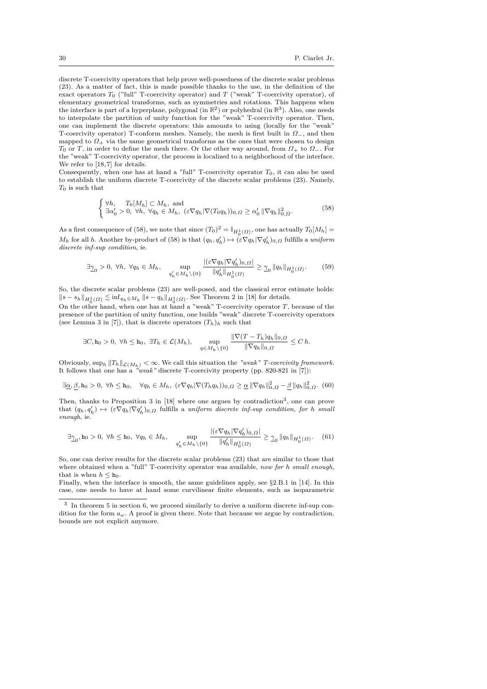discrete T-coercivity operators that help prove well-posedness of the discrete scalar problems (23). As a matter of fact, this is made possible thanks to the use, in the definition of the exact operators  $T_0$  ("full" T-coercivity operator) and  $T$  ("weak" T-coercivity operator), of elementary geometrical transforms, such as symmetries and rotations. This happens when the interface is part of a hyperplane, polygonal (in **R** 2 ) or polyhedral (in **R** 3 ). Also, one needs to interpolate the partition of unity function for the "weak" T-coercivity operator. Then, one can implement the discrete operators: this amounts to using (locally for the "weak" T-coercivity operator) T-conform meshes. Namely, the mesh is first built in *Ω*−, and then mapped to  $\Omega_+$  via the same geometrical transforms as the ones that were chosen to design *T*<sup>0</sup> or *T*, in order to define the mesh there. Or the other way around, from *Ω*<sup>+</sup> to *Ω*−. For the "weak" T-coercivity operator, the process is localized to a neighborhood of the interface. We refer to [18,7] for details.

Consequently, when one has at hand a "full" T-coercivity operator *T*0, it can also be used to establish the uniform discrete T-coercivity of the discrete scalar problems (23). Namely, *T*<sup>0</sup> is such that

$$
\begin{cases} \forall h, & T_0[M_h] \subset M_h, \text{ and} \\ \exists \alpha'_0 > 0, \ \forall h, \ \forall q_h \in M_h, \ (\varepsilon \nabla q_h |\nabla (T_0 q_h))_{0,\Omega} \ge \alpha'_0 \, ||\nabla q_h||^2_{0,\Omega}. \end{cases} \tag{58}
$$

As a first consequence of (58), we note that since  $(T_0)^2 = \mathbb{I}_{H_0^1(\Omega)}$ , one has actually  $T_0[M_h] =$  $M_h$  for all *h*. Another by-product of (58) is that  $(q_h, q'_h) \mapsto (\varepsilon \nabla q_h | \nabla q'_h)_{0,\Omega}$  fulfills a *uniform discrete inf-sup condition*, ie.

$$
\exists \underline{\gamma}_0 > 0, \ \forall h, \ \forall q_h \in M_h, \quad \sup_{q'_h \in M_h \setminus \{0\}} \frac{|(\varepsilon \nabla q_h | \nabla q'_h)_{0,\Omega}|}{\|q'_h\|_{H_0^1(\Omega)}} \ge \underline{\gamma}_0 \, \|q_h\|_{H_0^1(\Omega)}.
$$
 (59)

So, the discrete scalar problems (23) are well-posed, and the classical error estimate holds:  $||s - s_h||_{H_0^1(\Omega)}$   $\lesssim$  inf<sub>*q<sub>h</sub>*∈*M<sub>h</sub>*</sub>  $||s - q_h||_{H_0^1(\Omega)}$ . See Theorem 2 in [18] for details.

On the other hand, when one has at hand a "weak" T-coercivity operator *T*, because of the presence of the partition of unity function, one builds "weak" discrete T-coercivity operators (see Lemma 3 in [7]), that is discrete operators  $(T_h)_h$  such that

$$
\exists C, \mathbf{h}_0 > 0, \ \forall h \leq \mathbf{h}_0, \ \exists T_h \in \mathcal{L}(M_h), \quad \sup_{q \in M_h \setminus \{0\}} \frac{\|\nabla (T - T_h)q_h\|_{0,\Omega}}{\|\nabla q_h\|_{0,\Omega}} \leq C h.
$$

Obviously,  $\sup_h ||T_h||_{\mathcal{L}(M_h)} < \infty$ . We call this situation the "weak" T-coercivity framework.<br>It follows that one has a "weak" discrete T-coercivity property (pp. 820-821 in [7]):

$$
\exists \underline{\alpha}, \underline{\beta}, \mathbf{h}_0 > 0, \ \forall h \le \mathbf{h}_0, \quad \forall q_h \in M_h, \ (\varepsilon \nabla q_h |\nabla (T_h q_h))_{0,\Omega} \ge \underline{\alpha} \, \|\nabla q_h\|_{0,\Omega}^2 - \underline{\beta} \, \|q_h\|_{0,\Omega}^2. \tag{60}
$$

Then, thanks to Proposition 3 in  $[18]$  where one argues by contradiction<sup>3</sup>, one can prove that  $(q_h, q'_h) \mapsto (\varepsilon \nabla q_h | \nabla q'_h)_{0,\Omega}$  fulfills a *uniform discrete inf-sup condition, for h small enough*, ie.

$$
\exists \underline{\gamma}_0, \mathbf{h}_0 > 0, \ \forall h \le \mathbf{h}_0, \ \forall q_h \in M_h, \quad \sup_{q'_h \in M_h \backslash \{0\}} \frac{|(\varepsilon \nabla q_h | \nabla q'_h)_{0,\Omega}|}{\|q'_h\|_{H_0^1(\Omega)}} \ge \underline{\gamma}_0 \, \|q_h\|_{H_0^1(\Omega)}. \tag{61}
$$

So, one can derive results for the discrete scalar problems (23) that are similar to those that where obtained when a "full" T-coercivity operator was available, *now for h small enough*, that is when  $h \leq h_0$ .

Finally, when the interface is smooth, the same guidelines apply, see  $\S 2.B.1$  in [14]. In this case, one needs to have at hand some curvilinear finite elements, such as isoparametric

<sup>3</sup> In theorem 5 in section 6, we proceed similarly to derive a uniform discrete inf-sup condition for the form  $a_\omega$ . A proof is given there. Note that because we argue by contradiction, bounds are not explicit anymore.